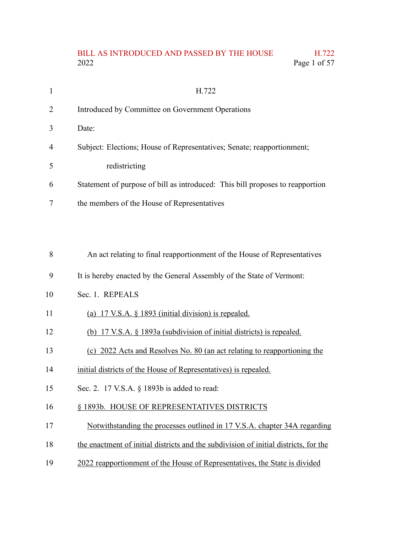## BILL AS INTRODUCED AND PASSED BY THE HOUSE H.722<br>2022 Page 1 of 57 Page 1 of 57

| $\mathbf{1}$ | H.722                                                                                |
|--------------|--------------------------------------------------------------------------------------|
| 2            | Introduced by Committee on Government Operations                                     |
| 3            | Date:                                                                                |
| 4            | Subject: Elections; House of Representatives; Senate; reapportionment;               |
| 5            | redistricting                                                                        |
| 6            | Statement of purpose of bill as introduced: This bill proposes to reapportion        |
| 7            | the members of the House of Representatives                                          |
|              |                                                                                      |
|              |                                                                                      |
| 8            | An act relating to final reapportionment of the House of Representatives             |
| 9            | It is hereby enacted by the General Assembly of the State of Vermont:                |
| 10           | Sec. 1. REPEALS                                                                      |
| 11           | (a) 17 V.S.A. § 1893 (initial division) is repealed.                                 |
| 12           | (b) 17 V.S.A. § 1893a (subdivision of initial districts) is repealed.                |
| 13           | (c) 2022 Acts and Resolves No. 80 (an act relating to reapportioning the             |
| 14           | initial districts of the House of Representatives) is repealed.                      |
| 15           | Sec. 2. 17 V.S.A. § 1893b is added to read:                                          |
| 16           | § 1893b. HOUSE OF REPRESENTATIVES DISTRICTS                                          |
| 17           | Notwithstanding the processes outlined in 17 V.S.A. chapter 34A regarding            |
| 18           | the enactment of initial districts and the subdivision of initial districts, for the |
| 19           | 2022 reapportionment of the House of Representatives, the State is divided           |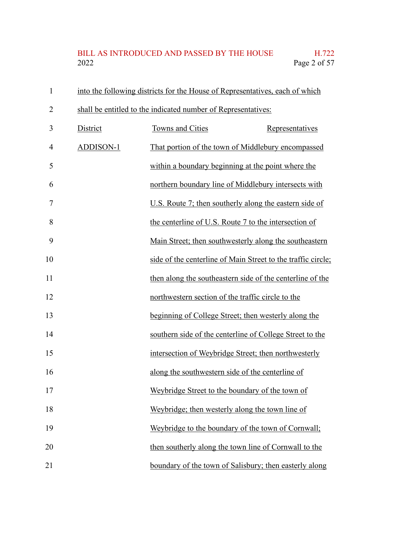# BILL AS INTRODUCED AND PASSED BY THE HOUSE H.722<br>2022 Page 2 of 57 Page 2 of 57

| $\mathbf{1}$   |                  | into the following districts for the House of Representatives, each of which |                 |
|----------------|------------------|------------------------------------------------------------------------------|-----------------|
| $\overline{2}$ |                  | shall be entitled to the indicated number of Representatives:                |                 |
| 3              | District         | Towns and Cities                                                             | Representatives |
| $\overline{4}$ | <b>ADDISON-1</b> | That portion of the town of Middlebury encompassed                           |                 |
| 5              |                  | within a boundary beginning at the point where the                           |                 |
| 6              |                  | northern boundary line of Middlebury intersects with                         |                 |
| 7              |                  | U.S. Route 7; then southerly along the eastern side of                       |                 |
| 8              |                  | the centerline of U.S. Route 7 to the intersection of                        |                 |
| 9              |                  | Main Street; then southwesterly along the southeastern                       |                 |
| 10             |                  | side of the centerline of Main Street to the traffic circle;                 |                 |
| 11             |                  | then along the southeastern side of the centerline of the                    |                 |
| 12             |                  | northwestern section of the traffic circle to the                            |                 |
| 13             |                  | beginning of College Street; then westerly along the                         |                 |
| 14             |                  | southern side of the centerline of College Street to the                     |                 |
| 15             |                  | intersection of Weybridge Street; then northwesterly                         |                 |
| 16             |                  | along the southwestern side of the centerline of                             |                 |
| 17             |                  | Weybridge Street to the boundary of the town of                              |                 |
| 18             |                  | Weybridge; then westerly along the town line of                              |                 |
| 19             |                  | Weybridge to the boundary of the town of Cornwall;                           |                 |
| 20             |                  | then southerly along the town line of Cornwall to the                        |                 |
| 21             |                  | boundary of the town of Salisbury; then easterly along                       |                 |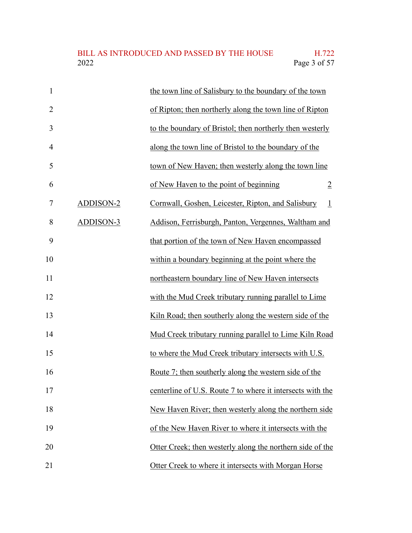## BILL AS INTRODUCED AND PASSED BY THE HOUSE H.722<br>2022 Page 3 of 57 Page 3 of 57

| $\mathbf{1}$   |           | the town line of Salisbury to the boundary of the town        |
|----------------|-----------|---------------------------------------------------------------|
| $\overline{2}$ |           | of Ripton; then northerly along the town line of Ripton       |
| 3              |           | to the boundary of Bristol; then northerly then westerly      |
| $\overline{4}$ |           | along the town line of Bristol to the boundary of the         |
| 5              |           | town of New Haven; then westerly along the town line          |
| 6              |           | of New Haven to the point of beginning<br>$\overline{2}$      |
| $\overline{7}$ | ADDISON-2 | Cornwall, Goshen, Leicester, Ripton, and Salisbury<br>$\perp$ |
| 8              | ADDISON-3 | Addison, Ferrisburgh, Panton, Vergennes, Waltham and          |
| 9              |           | that portion of the town of New Haven encompassed             |
| 10             |           | within a boundary beginning at the point where the            |
| 11             |           | northeastern boundary line of New Haven intersects            |
| 12             |           | with the Mud Creek tributary running parallel to Lime         |
| 13             |           | Kiln Road; then southerly along the western side of the       |
| 14             |           | Mud Creek tributary running parallel to Lime Kiln Road        |
| 15             |           | to where the Mud Creek tributary intersects with U.S.         |
| 16             |           | Route 7; then southerly along the western side of the         |
| 17             |           | centerline of U.S. Route 7 to where it intersects with the    |
| 18             |           | New Haven River; then westerly along the northern side        |
| 19             |           | of the New Haven River to where it intersects with the        |
| 20             |           | Otter Creek; then westerly along the northern side of the     |
| 21             |           | Otter Creek to where it intersects with Morgan Horse          |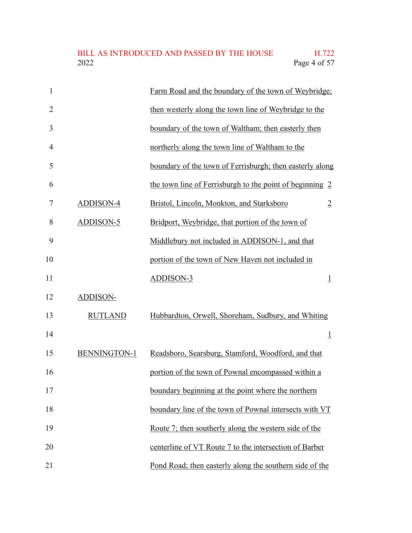## BILL AS INTRODUCED AND PASSED BY THE HOUSE H.722<br>2022 Page 4 of 57 Page 4 of 57

| $\mathbf{1}$   |                     | Farm Road and the boundary of the town of Weybridge;        |
|----------------|---------------------|-------------------------------------------------------------|
| $\overline{2}$ |                     | then westerly along the town line of Weybridge to the       |
| 3              |                     | boundary of the town of Waltham; then easterly then         |
| $\overline{4}$ |                     | northerly along the town line of Waltham to the             |
| 5              |                     | boundary of the town of Ferrisburgh; then easterly along    |
| 6              |                     | the town line of Ferrisburgh to the point of beginning 2    |
| 7              | ADDISON-4           | Bristol, Lincoln, Monkton, and Starksboro<br>$\overline{2}$ |
| 8              | ADDISON-5           | Bridport, Weybridge, that portion of the town of            |
| 9              |                     | Middlebury not included in ADDISON-1, and that              |
| 10             |                     | portion of the town of New Haven not included in            |
| 11             |                     | <b>ADDISON-3</b><br>$\perp$                                 |
| 12             | ADDISON-            |                                                             |
| 13             | <b>RUTLAND</b>      | Hubbardton, Orwell, Shoreham, Sudbury, and Whiting          |
| 14             |                     | $\perp$                                                     |
| 15             | <b>BENNINGTON-1</b> | Readsboro, Searsburg, Stamford, Woodford, and that          |
| 16             |                     | portion of the town of Pownal encompassed within a          |
| 17             |                     | boundary beginning at the point where the northern          |
| 18             |                     | boundary line of the town of Pownal intersects with VT      |
| 19             |                     | Route 7; then southerly along the western side of the       |
| 20             |                     | centerline of VT Route 7 to the intersection of Barber      |
| 21             |                     | Pond Road; then easterly along the southern side of the     |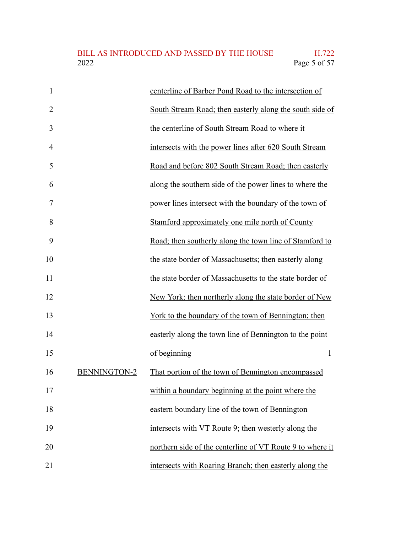# BILL AS INTRODUCED AND PASSED BY THE HOUSE H.722<br>2022 Page 5 of 57 Page 5 of 57

| $\mathbf{1}$   |                     | centerline of Barber Pond Road to the intersection of     |
|----------------|---------------------|-----------------------------------------------------------|
| $\overline{2}$ |                     | South Stream Road; then easterly along the south side of  |
| 3              |                     | the centerline of South Stream Road to where it           |
| $\overline{4}$ |                     | intersects with the power lines after 620 South Stream    |
| 5              |                     | Road and before 802 South Stream Road; then easterly      |
| 6              |                     | along the southern side of the power lines to where the   |
| 7              |                     | power lines intersect with the boundary of the town of    |
| 8              |                     | Stamford approximately one mile north of County           |
| 9              |                     | Road; then southerly along the town line of Stamford to   |
| 10             |                     | the state border of Massachusetts; then easterly along    |
| 11             |                     | the state border of Massachusetts to the state border of  |
| 12             |                     | New York; then northerly along the state border of New    |
| 13             |                     | York to the boundary of the town of Bennington; then      |
| 14             |                     | easterly along the town line of Bennington to the point   |
| 15             |                     | of beginning<br>$\perp$                                   |
| 16             | <b>BENNINGTON-2</b> | That portion of the town of Bennington encompassed        |
| 17             |                     | within a boundary beginning at the point where the        |
| 18             |                     | eastern boundary line of the town of Bennington           |
| 19             |                     | intersects with VT Route 9; then westerly along the       |
| 20             |                     | northern side of the centerline of VT Route 9 to where it |
| 21             |                     | intersects with Roaring Branch; then easterly along the   |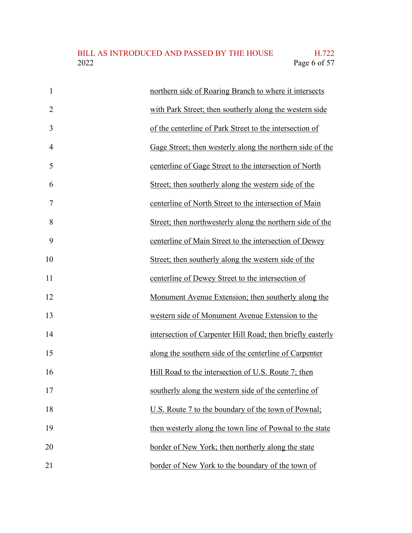### BILL AS INTRODUCED AND PASSED BY THE HOUSE H.722<br>2022 Page 6 of 57 Page 6 of 57

| $\mathbf{1}$   | northern side of Roaring Branch to where it intersects     |
|----------------|------------------------------------------------------------|
| $\overline{2}$ | with Park Street; then southerly along the western side    |
| 3              | of the centerline of Park Street to the intersection of    |
| $\overline{4}$ | Gage Street; then westerly along the northern side of the  |
| 5              | centerline of Gage Street to the intersection of North     |
| 6              | Street; then southerly along the western side of the       |
| 7              | centerline of North Street to the intersection of Main     |
| 8              | Street; then northwesterly along the northern side of the  |
| 9              | centerline of Main Street to the intersection of Dewey     |
| 10             | Street; then southerly along the western side of the       |
| 11             | centerline of Dewey Street to the intersection of          |
| 12             | Monument Avenue Extension; then southerly along the        |
| 13             | western side of Monument Avenue Extension to the           |
| 14             | intersection of Carpenter Hill Road; then briefly easterly |
| 15             | along the southern side of the centerline of Carpenter     |
| 16             | Hill Road to the intersection of U.S. Route 7; then        |
| 17             | southerly along the western side of the centerline of      |
| 18             | U.S. Route 7 to the boundary of the town of Pownal;        |
| 19             | then westerly along the town line of Pownal to the state   |
| 20             | border of New York; then northerly along the state         |
| 21             | border of New York to the boundary of the town of          |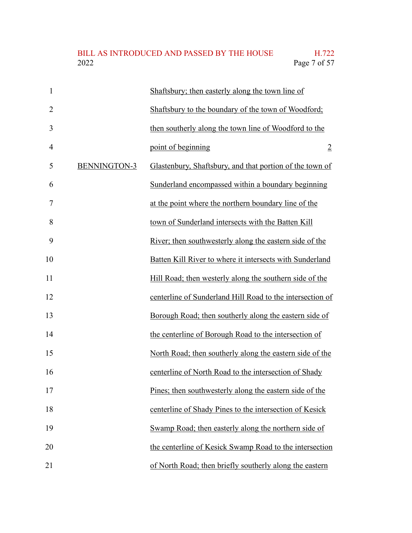### BILL AS INTRODUCED AND PASSED BY THE HOUSE H.722<br>2022 Page 7 of 57 Page 7 of 57

| $\mathbf{1}$   |                     | Shaftsbury; then easterly along the town line of          |
|----------------|---------------------|-----------------------------------------------------------|
| $\overline{2}$ |                     | Shaftsbury to the boundary of the town of Woodford;       |
| 3              |                     | then southerly along the town line of Woodford to the     |
| $\overline{4}$ |                     | point of beginning<br>$\overline{2}$                      |
| 5              | <b>BENNINGTON-3</b> | Glastenbury, Shaftsbury, and that portion of the town of  |
| 6              |                     | Sunderland encompassed within a boundary beginning        |
| 7              |                     | at the point where the northern boundary line of the      |
| 8              |                     | town of Sunderland intersects with the Batten Kill        |
| 9              |                     | River; then southwesterly along the eastern side of the   |
| 10             |                     | Batten Kill River to where it intersects with Sunderland  |
| 11             |                     | Hill Road; then westerly along the southern side of the   |
| 12             |                     | centerline of Sunderland Hill Road to the intersection of |
| 13             |                     | Borough Road; then southerly along the eastern side of    |
| 14             |                     | the centerline of Borough Road to the intersection of     |
| 15             |                     | North Road; then southerly along the eastern side of the  |
| 16             |                     | centerline of North Road to the intersection of Shady     |
| 17             |                     | Pines; then southwesterly along the eastern side of the   |
| 18             |                     | centerline of Shady Pines to the intersection of Kesick   |
| 19             |                     | Swamp Road; then easterly along the northern side of      |
| 20             |                     | the centerline of Kesick Swamp Road to the intersection   |
| 21             |                     | of North Road; then briefly southerly along the eastern   |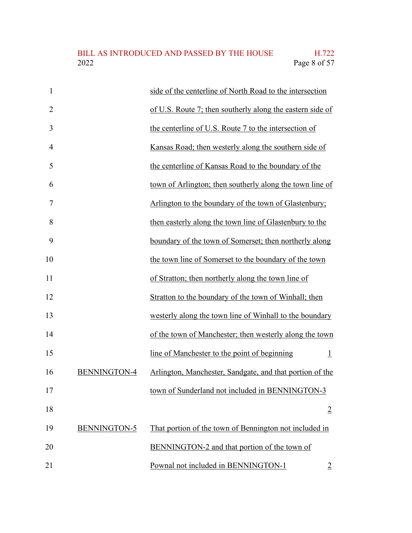### BILL AS INTRODUCED AND PASSED BY THE HOUSE H.722<br>2022 Page 8 of 57 Page 8 of 57

| $\mathbf{1}$   |                     | side of the centerline of North Road to the intersection  |
|----------------|---------------------|-----------------------------------------------------------|
| $\overline{2}$ |                     | of U.S. Route 7; then southerly along the eastern side of |
| 3              |                     | the centerline of U.S. Route 7 to the intersection of     |
| 4              |                     | Kansas Road; then westerly along the southern side of     |
| 5              |                     | the centerline of Kansas Road to the boundary of the      |
| 6              |                     | town of Arlington; then southerly along the town line of  |
| 7              |                     | Arlington to the boundary of the town of Glastenbury;     |
| 8              |                     | then easterly along the town line of Glastenbury to the   |
| 9              |                     | boundary of the town of Somerset; then northerly along    |
| 10             |                     | the town line of Somerset to the boundary of the town     |
| 11             |                     | of Stratton; then northerly along the town line of        |
| 12             |                     | Stratton to the boundary of the town of Winhall; then     |
| 13             |                     | westerly along the town line of Winhall to the boundary   |
| 14             |                     | of the town of Manchester; then westerly along the town   |
| 15             |                     | line of Manchester to the point of beginning<br>$\perp$   |
| 16             | <b>BENNINGTON-4</b> | Arlington, Manchester, Sandgate, and that portion of the  |
| 17             |                     | town of Sunderland not included in BENNINGTON-3           |
| 18             |                     | $\overline{2}$                                            |
| 19             | BENNINGTON-5        | That portion of the town of Bennington not included in    |
| 20             |                     | BENNINGTON-2 and that portion of the town of              |
| 21             |                     | Pownal not included in BENNINGTON-1<br>$\overline{2}$     |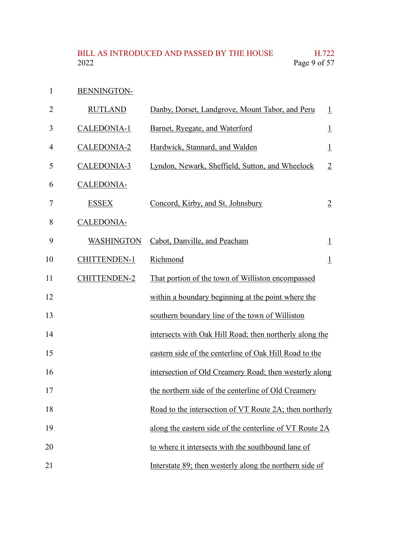BENNINGTON-1

| $\overline{2}$ | <b>RUTLAND</b>      | Danby, Dorset, Landgrove, Mount Tabor, and Peru         | $\perp$            |
|----------------|---------------------|---------------------------------------------------------|--------------------|
| 3              | <b>CALEDONIA-1</b>  | Barnet, Ryegate, and Waterford                          | $\overline{1}$     |
| 4              | CALEDONIA-2         | Hardwick, Stannard, and Walden                          | $\perp$            |
| 5              | CALEDONIA-3         | Lyndon, Newark, Sheffield, Sutton, and Wheelock         | $\overline{2}$     |
| 6              | <b>CALEDONIA-</b>   |                                                         |                    |
| 7              | <b>ESSEX</b>        | Concord, Kirby, and St. Johnsbury                       | $\overline{2}$     |
| 8              | CALEDONIA-          |                                                         |                    |
| 9              | <b>WASHINGTON</b>   | Cabot, Danville, and Peacham                            | $\overline{1}$     |
| 10             | <b>CHITTENDEN-1</b> | Richmond                                                | $\overline{\perp}$ |
| 11             | <b>CHITTENDEN-2</b> | That portion of the town of Williston encompassed       |                    |
| 12             |                     | within a boundary beginning at the point where the      |                    |
| 13             |                     | southern boundary line of the town of Williston         |                    |
| 14             |                     | intersects with Oak Hill Road; then northerly along the |                    |
| 15             |                     | eastern side of the centerline of Oak Hill Road to the  |                    |
| 16             |                     | intersection of Old Creamery Road; then westerly along  |                    |
| 17             |                     | the northern side of the centerline of Old Creamery     |                    |
| 18             |                     | Road to the intersection of VT Route 2A; then northerly |                    |
| 19             |                     | along the eastern side of the centerline of VT Route 2A |                    |
| 20             |                     | to where it intersects with the southbound lane of      |                    |
| 21             |                     | Interstate 89; then westerly along the northern side of |                    |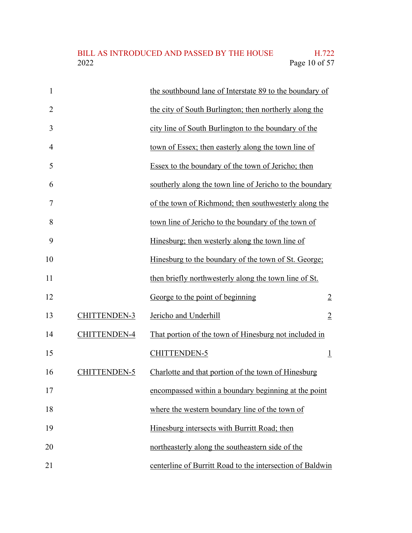### BILL AS INTRODUCED AND PASSED BY THE HOUSE H.722<br>2022 Page 10 of 57 Page 10 of 57

| $\mathbf{1}$ |                     | the southbound lane of Interstate 89 to the boundary of   |                |
|--------------|---------------------|-----------------------------------------------------------|----------------|
| 2            |                     | the city of South Burlington; then northerly along the    |                |
| 3            |                     | city line of South Burlington to the boundary of the      |                |
| 4            |                     | town of Essex; then easterly along the town line of       |                |
| 5            |                     | Essex to the boundary of the town of Jericho; then        |                |
| 6            |                     | southerly along the town line of Jericho to the boundary  |                |
| 7            |                     | of the town of Richmond; then southwesterly along the     |                |
| 8            |                     | town line of Jericho to the boundary of the town of       |                |
| 9            |                     | Hinesburg; then westerly along the town line of           |                |
| 10           |                     | Hinesburg to the boundary of the town of St. George;      |                |
| 11           |                     | then briefly northwesterly along the town line of St.     |                |
| 12           |                     | George to the point of beginning                          | $\overline{2}$ |
| 13           | <b>CHITTENDEN-3</b> | Jericho and Underhill                                     | $\overline{2}$ |
| 14           | <b>CHITTENDEN-4</b> | That portion of the town of Hinesburg not included in     |                |
| 15           |                     | <b>CHITTENDEN-5</b>                                       | $\overline{1}$ |
| 16           | CHITTENDEN-5        | Charlotte and that portion of the town of Hinesburg       |                |
| 17           |                     | encompassed within a boundary beginning at the point      |                |
| 18           |                     | where the western boundary line of the town of            |                |
| 19           |                     | Hinesburg intersects with Burritt Road; then              |                |
| 20           |                     | northeasterly along the southeastern side of the          |                |
| 21           |                     | centerline of Burritt Road to the intersection of Baldwin |                |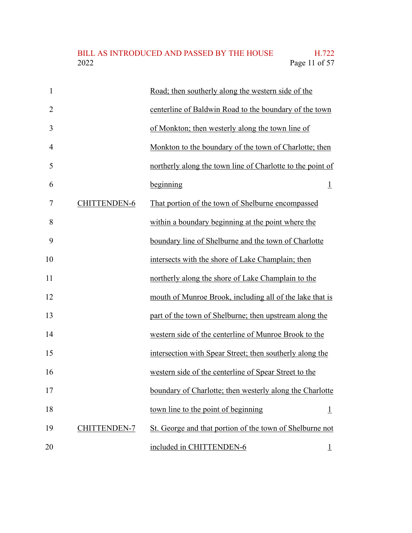### BILL AS INTRODUCED AND PASSED BY THE HOUSE H.722<br>2022 Page 11 of 57 Page 11 of 57

| $\mathbf{1}$   |                     | Road; then southerly along the western side of the         |         |
|----------------|---------------------|------------------------------------------------------------|---------|
| $\overline{2}$ |                     | centerline of Baldwin Road to the boundary of the town     |         |
| 3              |                     | of Monkton; then westerly along the town line of           |         |
| 4              |                     | Monkton to the boundary of the town of Charlotte; then     |         |
| 5              |                     | northerly along the town line of Charlotte to the point of |         |
| 6              |                     | beginning                                                  | $\perp$ |
| 7              | <b>CHITTENDEN-6</b> | That portion of the town of Shelburne encompassed          |         |
| 8              |                     | within a boundary beginning at the point where the         |         |
| 9              |                     | boundary line of Shelburne and the town of Charlotte       |         |
| 10             |                     | intersects with the shore of Lake Champlain; then          |         |
| 11             |                     | northerly along the shore of Lake Champlain to the         |         |
| 12             |                     | mouth of Munroe Brook, including all of the lake that is   |         |
| 13             |                     | part of the town of Shelburne; then upstream along the     |         |
| 14             |                     | western side of the centerline of Munroe Brook to the      |         |
| 15             |                     | intersection with Spear Street; then southerly along the   |         |
| 16             |                     | western side of the centerline of Spear Street to the      |         |
| 17             |                     | boundary of Charlotte; then westerly along the Charlotte   |         |
| 18             |                     | town line to the point of beginning                        | $\perp$ |
| 19             | <b>CHITTENDEN-7</b> | St. George and that portion of the town of Shelburne not   |         |
| 20             |                     | included in CHITTENDEN-6                                   | $\perp$ |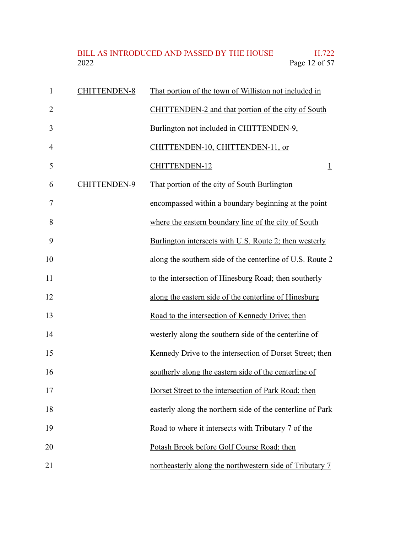### BILL AS INTRODUCED AND PASSED BY THE HOUSE H.722<br>2022 Page 12 of 57 Page 12 of 57

| 1              | <b>CHITTENDEN-8</b> | That portion of the town of Williston not included in      |
|----------------|---------------------|------------------------------------------------------------|
| $\overline{2}$ |                     | CHITTENDEN-2 and that portion of the city of South         |
| 3              |                     | Burlington not included in CHITTENDEN-9,                   |
| $\overline{4}$ |                     | CHITTENDEN-10, CHITTENDEN-11, or                           |
| 5              |                     | <b>CHITTENDEN-12</b><br>$\perp$                            |
| 6              | <b>CHITTENDEN-9</b> | That portion of the city of South Burlington               |
| $\overline{7}$ |                     | encompassed within a boundary beginning at the point       |
| 8              |                     | where the eastern boundary line of the city of South       |
| 9              |                     | Burlington intersects with U.S. Route 2; then westerly     |
| 10             |                     | along the southern side of the centerline of U.S. Route 2  |
| 11             |                     | to the intersection of Hinesburg Road; then southerly      |
| 12             |                     | along the eastern side of the centerline of Hinesburg      |
| 13             |                     | Road to the intersection of Kennedy Drive; then            |
| 14             |                     | westerly along the southern side of the centerline of      |
| 15             |                     | Kennedy Drive to the intersection of Dorset Street; then   |
| 16             |                     | southerly along the eastern side of the centerline of      |
| 17             |                     | Dorset Street to the intersection of Park Road; then       |
| 18             |                     | easterly along the northern side of the centerline of Park |
| 19             |                     | Road to where it intersects with Tributary 7 of the        |
| 20             |                     | Potash Brook before Golf Course Road; then                 |
| 21             |                     | northeasterly along the northwestern side of Tributary 7   |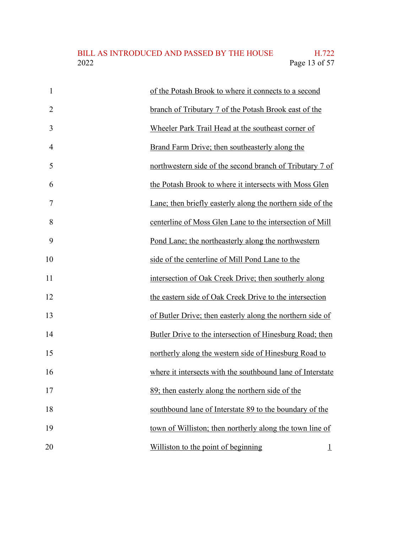### BILL AS INTRODUCED AND PASSED BY THE HOUSE H.722<br>2022 Page 13 of 57 Page 13 of 57

| $\mathbf{1}$   | of the Potash Brook to where it connects to a second       |
|----------------|------------------------------------------------------------|
| $\overline{2}$ | branch of Tributary 7 of the Potash Brook east of the      |
| 3              | Wheeler Park Trail Head at the southeast corner of         |
| 4              | Brand Farm Drive; then southeasterly along the             |
| 5              | northwestern side of the second branch of Tributary 7 of   |
| 6              | the Potash Brook to where it intersects with Moss Glen     |
| 7              | Lane; then briefly easterly along the northern side of the |
| 8              | centerline of Moss Glen Lane to the intersection of Mill   |
| 9              | Pond Lane; the northeasterly along the northwestern        |
| 10             | side of the centerline of Mill Pond Lane to the            |
| 11             | intersection of Oak Creek Drive; then southerly along      |
| 12             | the eastern side of Oak Creek Drive to the intersection    |
| 13             | of Butler Drive; then easterly along the northern side of  |
| 14             | Butler Drive to the intersection of Hinesburg Road; then   |
| 15             | northerly along the western side of Hinesburg Road to      |
| 16             | where it intersects with the southbound lane of Interstate |
| 17             | 89; then easterly along the northern side of the           |
| 18             | southbound lane of Interstate 89 to the boundary of the    |
| 19             | town of Williston; then northerly along the town line of   |
| 20             | Williston to the point of beginning<br>$\overline{1}$      |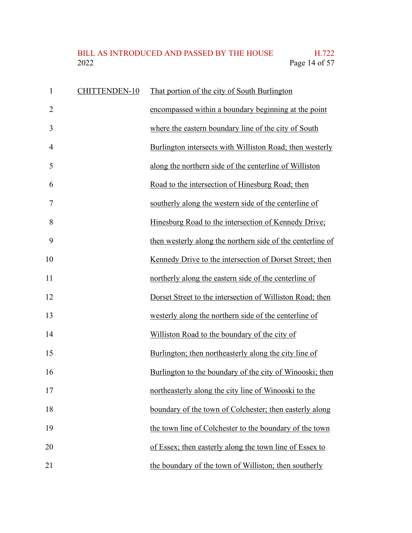### BILL AS INTRODUCED AND PASSED BY THE HOUSE H.722<br>2022 Page 14 of 57 Page 14 of 57

| 1              | CHITTENDEN-10 | That portion of the city of South Burlington               |
|----------------|---------------|------------------------------------------------------------|
| $\overline{2}$ |               | encompassed within a boundary beginning at the point       |
| 3              |               | where the eastern boundary line of the city of South       |
| $\overline{4}$ |               | Burlington intersects with Williston Road; then westerly   |
| 5              |               | along the northern side of the centerline of Williston     |
| 6              |               | Road to the intersection of Hinesburg Road; then           |
| 7              |               | southerly along the western side of the centerline of      |
| 8              |               | Hinesburg Road to the intersection of Kennedy Drive;       |
| 9              |               | then westerly along the northern side of the centerline of |
| 10             |               | Kennedy Drive to the intersection of Dorset Street; then   |
| 11             |               | northerly along the eastern side of the centerline of      |
| 12             |               | Dorset Street to the intersection of Williston Road; then  |
| 13             |               | westerly along the northern side of the centerline of      |
| 14             |               | Williston Road to the boundary of the city of              |
| 15             |               | Burlington; then northeasterly along the city line of      |
| 16             |               | Burlington to the boundary of the city of Winooski; then   |
| 17             |               | northeasterly along the city line of Winooski to the       |
| 18             |               | boundary of the town of Colchester; then easterly along    |
| 19             |               | the town line of Colchester to the boundary of the town    |
| 20             |               | of Essex; then easterly along the town line of Essex to    |
| 21             |               | the boundary of the town of Williston; then southerly      |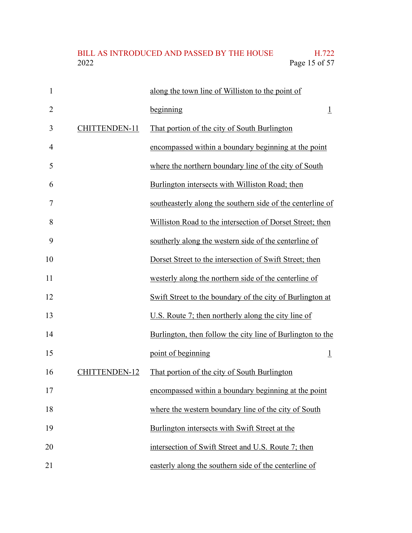### BILL AS INTRODUCED AND PASSED BY THE HOUSE H.722<br>2022 Page 15 of 57 Page 15 of 57

| $\mathbf{1}$   |                      | along the town line of Williston to the point of           |
|----------------|----------------------|------------------------------------------------------------|
| $\overline{2}$ |                      | beginning<br>$\perp$                                       |
| 3              | <b>CHITTENDEN-11</b> | That portion of the city of South Burlington               |
| $\overline{4}$ |                      | encompassed within a boundary beginning at the point       |
| 5              |                      | where the northern boundary line of the city of South      |
| 6              |                      | Burlington intersects with Williston Road; then            |
| 7              |                      | southeasterly along the southern side of the centerline of |
| 8              |                      | Williston Road to the intersection of Dorset Street; then  |
| 9              |                      | southerly along the western side of the centerline of      |
| 10             |                      | Dorset Street to the intersection of Swift Street; then    |
| 11             |                      | westerly along the northern side of the centerline of      |
| 12             |                      | Swift Street to the boundary of the city of Burlington at  |
| 13             |                      | U.S. Route 7; then northerly along the city line of        |
| 14             |                      | Burlington, then follow the city line of Burlington to the |
| 15             |                      | point of beginning<br>$\perp$                              |
| 16             | CHITTENDEN-12        | That portion of the city of South Burlington               |
| 17             |                      | encompassed within a boundary beginning at the point       |
| 18             |                      | where the western boundary line of the city of South       |
| 19             |                      | Burlington intersects with Swift Street at the             |
| 20             |                      | intersection of Swift Street and U.S. Route 7; then        |
| 21             |                      | easterly along the southern side of the centerline of      |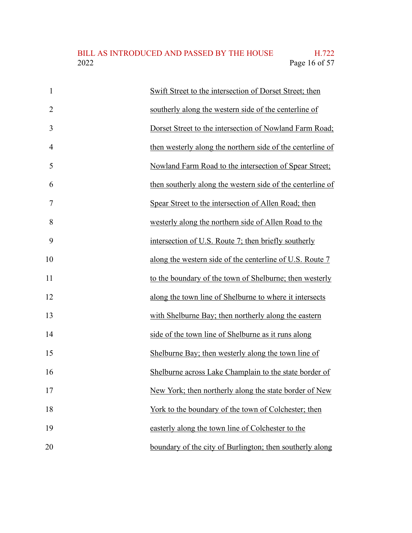| $\mathbf{1}$   | Swift Street to the intersection of Dorset Street; then    |
|----------------|------------------------------------------------------------|
| $\overline{2}$ | southerly along the western side of the centerline of      |
| 3              | Dorset Street to the intersection of Nowland Farm Road;    |
| $\overline{4}$ | then westerly along the northern side of the centerline of |
| 5              | Nowland Farm Road to the intersection of Spear Street;     |
| 6              | then southerly along the western side of the centerline of |
| 7              | Spear Street to the intersection of Allen Road; then       |
| 8              | westerly along the northern side of Allen Road to the      |
| 9              | intersection of U.S. Route 7; then briefly southerly       |
| 10             | along the western side of the centerline of U.S. Route 7   |
| 11             | to the boundary of the town of Shelburne; then westerly    |
| 12             | along the town line of Shelburne to where it intersects    |
| 13             | with Shelburne Bay; then northerly along the eastern       |
| 14             | side of the town line of Shelburne as it runs along        |
| 15             | Shelburne Bay; then westerly along the town line of        |
| 16             | Shelburne across Lake Champlain to the state border of     |
| 17             | New York; then northerly along the state border of New     |
| 18             | York to the boundary of the town of Colchester; then       |
| 19             | easterly along the town line of Colchester to the          |
| 20             | boundary of the city of Burlington; then southerly along   |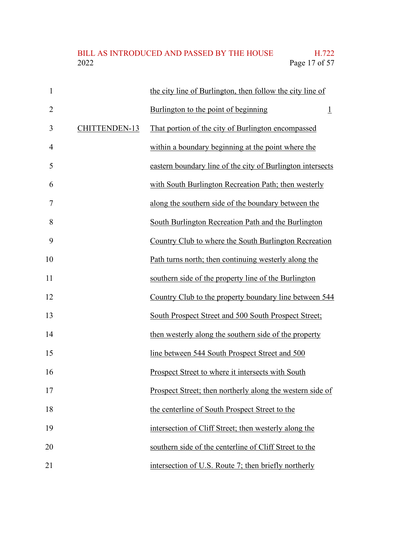| $\mathbf{1}$   |               | the city line of Burlington, then follow the city line of  |
|----------------|---------------|------------------------------------------------------------|
| $\overline{2}$ |               | Burlington to the point of beginning<br>$\perp$            |
| 3              | CHITTENDEN-13 | That portion of the city of Burlington encompassed         |
| $\overline{4}$ |               | within a boundary beginning at the point where the         |
| 5              |               | eastern boundary line of the city of Burlington intersects |
| 6              |               | with South Burlington Recreation Path; then westerly       |
| 7              |               | along the southern side of the boundary between the        |
| 8              |               | South Burlington Recreation Path and the Burlington        |
| 9              |               | Country Club to where the South Burlington Recreation      |
| 10             |               | Path turns north; then continuing westerly along the       |
| 11             |               | southern side of the property line of the Burlington       |
| 12             |               | Country Club to the property boundary line between 544     |
| 13             |               | South Prospect Street and 500 South Prospect Street;       |
| 14             |               | then westerly along the southern side of the property      |
| 15             |               | line between 544 South Prospect Street and 500             |
| 16             |               | Prospect Street to where it intersects with South          |
| 17             |               | Prospect Street; then northerly along the western side of  |
| 18             |               | the centerline of South Prospect Street to the             |
| 19             |               | intersection of Cliff Street; then westerly along the      |
| 20             |               | southern side of the centerline of Cliff Street to the     |
| 21             |               | intersection of U.S. Route 7; then briefly northerly       |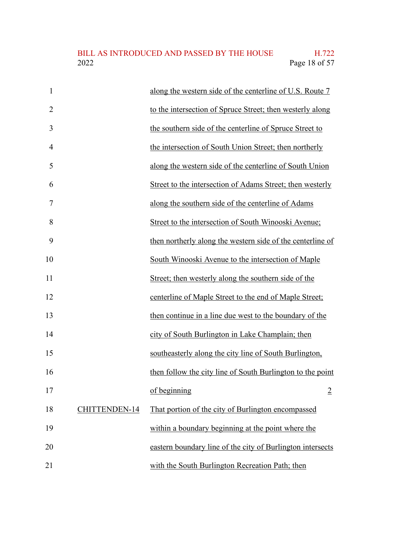| $\mathbf{1}$   |                      | along the western side of the centerline of U.S. Route 7   |
|----------------|----------------------|------------------------------------------------------------|
| $\overline{2}$ |                      | to the intersection of Spruce Street; then westerly along  |
| 3              |                      | the southern side of the centerline of Spruce Street to    |
| $\overline{4}$ |                      | the intersection of South Union Street; then northerly     |
| 5              |                      | along the western side of the centerline of South Union    |
| 6              |                      | Street to the intersection of Adams Street; then westerly  |
| 7              |                      | along the southern side of the centerline of Adams         |
| 8              |                      | Street to the intersection of South Winooski Avenue;       |
| 9              |                      | then northerly along the western side of the centerline of |
| 10             |                      | South Winooski Avenue to the intersection of Maple         |
| 11             |                      | Street; then westerly along the southern side of the       |
| 12             |                      | centerline of Maple Street to the end of Maple Street;     |
| 13             |                      | then continue in a line due west to the boundary of the    |
| 14             |                      | city of South Burlington in Lake Champlain; then           |
| 15             |                      | southeasterly along the city line of South Burlington,     |
| 16             |                      | then follow the city line of South Burlington to the point |
| 17             |                      | of beginning<br>$\overline{2}$                             |
| 18             | <b>CHITTENDEN-14</b> | That portion of the city of Burlington encompassed         |
| 19             |                      | within a boundary beginning at the point where the         |
| 20             |                      | eastern boundary line of the city of Burlington intersects |
| 21             |                      | with the South Burlington Recreation Path; then            |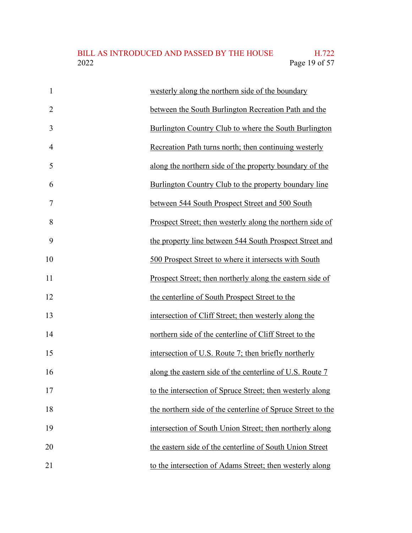| $\mathbf{1}$   | westerly along the northern side of the boundary            |
|----------------|-------------------------------------------------------------|
| $\overline{2}$ | between the South Burlington Recreation Path and the        |
| 3              | Burlington Country Club to where the South Burlington       |
| $\overline{4}$ | Recreation Path turns north; then continuing westerly       |
| 5              | along the northern side of the property boundary of the     |
| 6              | Burlington Country Club to the property boundary line       |
| 7              | between 544 South Prospect Street and 500 South             |
| 8              | Prospect Street; then westerly along the northern side of   |
| 9              | the property line between 544 South Prospect Street and     |
| 10             | 500 Prospect Street to where it intersects with South       |
| 11             | Prospect Street; then northerly along the eastern side of   |
| 12             | the centerline of South Prospect Street to the              |
| 13             | intersection of Cliff Street; then westerly along the       |
| 14             | northern side of the centerline of Cliff Street to the      |
| 15             | intersection of U.S. Route 7; then briefly northerly        |
| 16             | along the eastern side of the centerline of U.S. Route 7    |
| 17             | to the intersection of Spruce Street; then westerly along   |
| 18             | the northern side of the centerline of Spruce Street to the |
| 19             | intersection of South Union Street; then northerly along    |
| 20             | the eastern side of the centerline of South Union Street    |
| 21             | to the intersection of Adams Street; then westerly along    |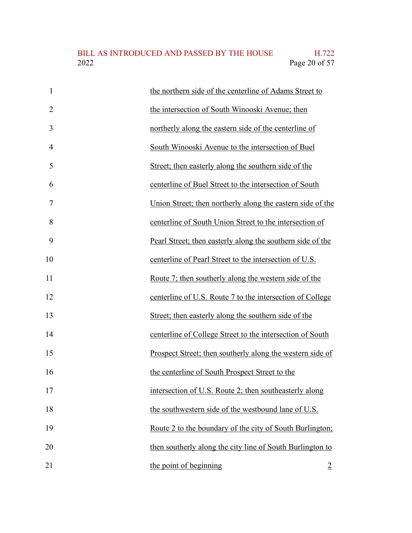| $\mathbf{1}$   | the northern side of the centerline of Adams Street to     |
|----------------|------------------------------------------------------------|
| $\overline{2}$ | the intersection of South Winooski Avenue; then            |
| 3              | northerly along the eastern side of the centerline of      |
| $\overline{4}$ | South Winooski Avenue to the intersection of Buel          |
| 5              | Street; then easterly along the southern side of the       |
| 6              | centerline of Buel Street to the intersection of South     |
| 7              | Union Street; then northerly along the eastern side of the |
| 8              | centerline of South Union Street to the intersection of    |
| 9              | Pearl Street; then easterly along the southern side of the |
| 10             | centerline of Pearl Street to the intersection of U.S.     |
| 11             | Route 7; then southerly along the western side of the      |
| 12             | centerline of U.S. Route 7 to the intersection of College  |
| 13             | Street; then easterly along the southern side of the       |
| 14             | centerline of College Street to the intersection of South  |
| 15             | Prospect Street; then southerly along the western side of  |
| 16             | the centerline of South Prospect Street to the             |
| 17             | intersection of U.S. Route 2; then southeasterly along     |
| 18             | the southwestern side of the westbound lane of U.S.        |
| 19             | Route 2 to the boundary of the city of South Burlington;   |
| 20             | then southerly along the city line of South Burlington to  |
| 21             | the point of beginning<br>$\overline{2}$                   |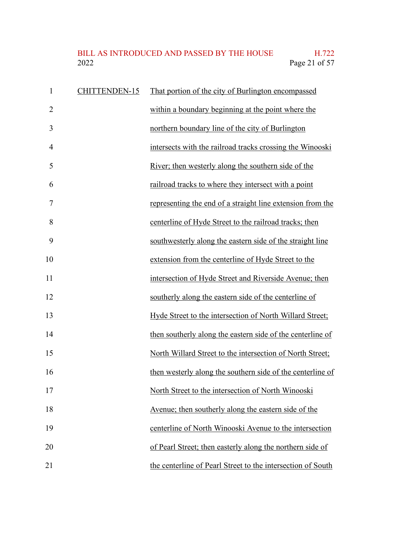### BILL AS INTRODUCED AND PASSED BY THE HOUSE H.722<br>2022 Page 21 of 57 Page 21 of 57

| $\mathbf{1}$   | <b>CHITTENDEN-15</b> | That portion of the city of Burlington encompassed          |
|----------------|----------------------|-------------------------------------------------------------|
| $\overline{2}$ |                      | within a boundary beginning at the point where the          |
| 3              |                      | northern boundary line of the city of Burlington            |
| $\overline{4}$ |                      | intersects with the railroad tracks crossing the Winooski   |
| 5              |                      | River; then westerly along the southern side of the         |
| 6              |                      | railroad tracks to where they intersect with a point        |
| 7              |                      | representing the end of a straight line extension from the  |
| 8              |                      | centerline of Hyde Street to the railroad tracks; then      |
| 9              |                      | southwesterly along the eastern side of the straight line   |
| 10             |                      | extension from the centerline of Hyde Street to the         |
| 11             |                      | intersection of Hyde Street and Riverside Avenue; then      |
| 12             |                      | southerly along the eastern side of the centerline of       |
| 13             |                      | Hyde Street to the intersection of North Willard Street;    |
| 14             |                      | then southerly along the eastern side of the centerline of  |
| 15             |                      | North Willard Street to the intersection of North Street;   |
| 16             |                      | then westerly along the southern side of the centerline of  |
| 17             |                      | North Street to the intersection of North Winooski          |
| 18             |                      | Avenue; then southerly along the eastern side of the        |
| 19             |                      | centerline of North Winooski Avenue to the intersection     |
| 20             |                      | of Pearl Street; then easterly along the northern side of   |
| 21             |                      | the centerline of Pearl Street to the intersection of South |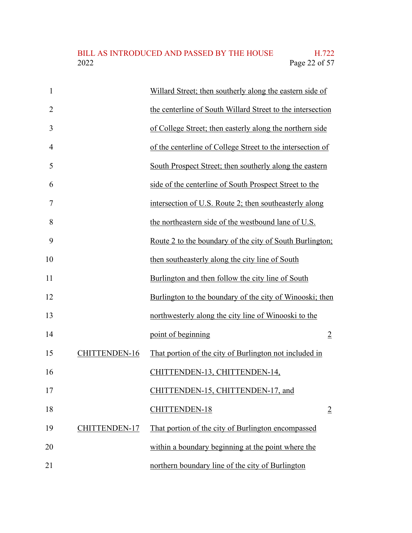### BILL AS INTRODUCED AND PASSED BY THE HOUSE H.722<br>2022 Page 22 of 57 Page 22 of 57

| $\mathbf{1}$   |               | Willard Street; then southerly along the eastern side of   |  |
|----------------|---------------|------------------------------------------------------------|--|
| $\overline{2}$ |               | the centerline of South Willard Street to the intersection |  |
| 3              |               | of College Street; then easterly along the northern side   |  |
| $\overline{4}$ |               | of the centerline of College Street to the intersection of |  |
| 5              |               | South Prospect Street; then southerly along the eastern    |  |
| 6              |               | side of the centerline of South Prospect Street to the     |  |
| 7              |               | intersection of U.S. Route 2; then southeasterly along     |  |
| 8              |               | the northeastern side of the westbound lane of U.S.        |  |
| 9              |               | Route 2 to the boundary of the city of South Burlington;   |  |
| 10             |               | then southeasterly along the city line of South            |  |
| 11             |               | Burlington and then follow the city line of South          |  |
| 12             |               | Burlington to the boundary of the city of Winooski; then   |  |
| 13             |               | northwesterly along the city line of Winooski to the       |  |
| 14             |               | point of beginning<br>$\overline{2}$                       |  |
| 15             | CHITTENDEN-16 | That portion of the city of Burlington not included in     |  |
| 16             |               | CHITTENDEN-13, CHITTENDEN-14,                              |  |
| 17             |               | CHITTENDEN-15, CHITTENDEN-17, and                          |  |
| 18             |               | <b>CHITTENDEN-18</b><br>$\overline{2}$                     |  |
| 19             | CHITTENDEN-17 | That portion of the city of Burlington encompassed         |  |
| 20             |               | within a boundary beginning at the point where the         |  |
| 21             |               | northern boundary line of the city of Burlington           |  |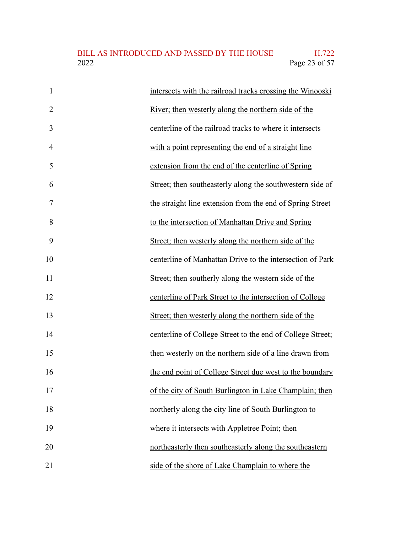### BILL AS INTRODUCED AND PASSED BY THE HOUSE H.722<br>2022 Page 23 of 57 Page 23 of 57

| $\mathbf{1}$   | intersects with the railroad tracks crossing the Winooski  |
|----------------|------------------------------------------------------------|
| $\overline{2}$ | River; then westerly along the northern side of the        |
| 3              | centerline of the railroad tracks to where it intersects   |
| $\overline{4}$ | with a point representing the end of a straight line       |
| 5              | extension from the end of the centerline of Spring         |
| 6              | Street; then southeasterly along the southwestern side of  |
| 7              | the straight line extension from the end of Spring Street  |
| 8              | to the intersection of Manhattan Drive and Spring          |
| 9              | Street; then westerly along the northern side of the       |
| 10             | centerline of Manhattan Drive to the intersection of Park  |
| 11             | Street; then southerly along the western side of the       |
| 12             | centerline of Park Street to the intersection of College   |
| 13             | Street; then westerly along the northern side of the       |
| 14             | centerline of College Street to the end of College Street; |
| 15             | then westerly on the northern side of a line drawn from    |
| 16             | the end point of College Street due west to the boundary   |
| 17             | of the city of South Burlington in Lake Champlain; then    |
| 18             | northerly along the city line of South Burlington to       |
| 19             | where it intersects with Appletree Point; then             |
| 20             | northeasterly then southeasterly along the southeastern    |
| 21             | side of the shore of Lake Champlain to where the           |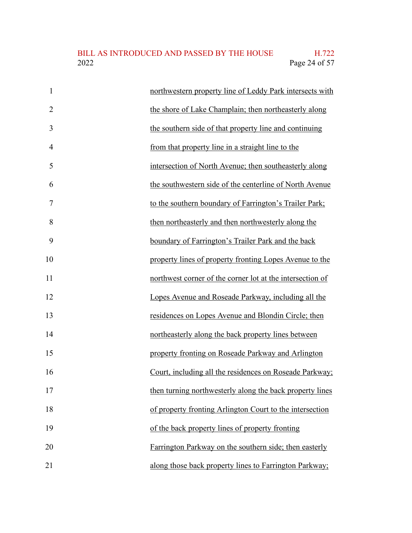### BILL AS INTRODUCED AND PASSED BY THE HOUSE H.722<br>2022 Page 24 of 57 Page 24 of 57

| $\mathbf{1}$   | northwestern property line of Leddy Park intersects with  |
|----------------|-----------------------------------------------------------|
| $\overline{2}$ | the shore of Lake Champlain; then northeasterly along     |
| 3              | the southern side of that property line and continuing    |
| $\overline{4}$ | from that property line in a straight line to the         |
| 5              | intersection of North Avenue; then southeasterly along    |
| 6              | the southwestern side of the centerline of North Avenue   |
| 7              | to the southern boundary of Farrington's Trailer Park;    |
| 8              | then northeasterly and then northwesterly along the       |
| 9              | boundary of Farrington's Trailer Park and the back        |
| 10             | property lines of property fronting Lopes Avenue to the   |
| 11             | northwest corner of the corner lot at the intersection of |
| 12             | Lopes Avenue and Roseade Parkway, including all the       |
| 13             | residences on Lopes Avenue and Blondin Circle; then       |
| 14             | northeasterly along the back property lines between       |
| 15             | property fronting on Roseade Parkway and Arlington        |
| 16             | Court, including all the residences on Roseade Parkway;   |
| 17             | then turning northwesterly along the back property lines  |
| 18             | of property fronting Arlington Court to the intersection  |
| 19             | of the back property lines of property fronting           |
| 20             | Farrington Parkway on the southern side; then easterly    |
| 21             | along those back property lines to Farrington Parkway;    |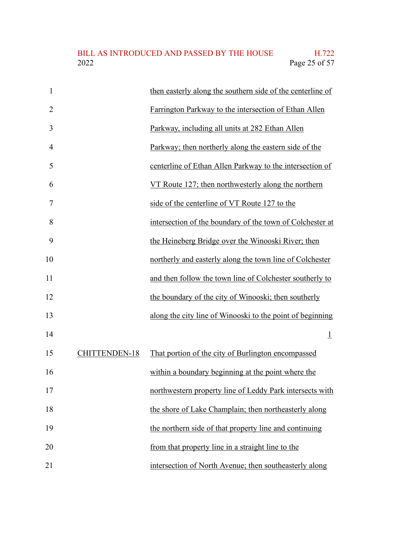### BILL AS INTRODUCED AND PASSED BY THE HOUSE H.722<br>2022 Page 25 of 57 Page 25 of 57

| $\mathbf{1}$   |               | then easterly along the southern side of the centerline of |
|----------------|---------------|------------------------------------------------------------|
| $\overline{2}$ |               | Farrington Parkway to the intersection of Ethan Allen      |
| 3              |               | Parkway, including all units at 282 Ethan Allen            |
| 4              |               | Parkway; then northerly along the eastern side of the      |
| 5              |               | centerline of Ethan Allen Parkway to the intersection of   |
| 6              |               | VT Route 127; then northwesterly along the northern        |
| 7              |               | side of the centerline of VT Route 127 to the              |
| 8              |               | intersection of the boundary of the town of Colchester at  |
| 9              |               | the Heineberg Bridge over the Winooski River; then         |
| 10             |               | northerly and easterly along the town line of Colchester   |
| 11             |               | and then follow the town line of Colchester southerly to   |
| 12             |               | the boundary of the city of Winooski; then southerly       |
| 13             |               | along the city line of Winooski to the point of beginning  |
| 14             |               | $\perp$                                                    |
| 15             | CHITTENDEN-18 | That portion of the city of Burlington encompassed         |
| 16             |               | within a boundary beginning at the point where the         |
| 17             |               | northwestern property line of Leddy Park intersects with   |
| 18             |               | the shore of Lake Champlain; then northeasterly along      |
| 19             |               | the northern side of that property line and continuing     |
| 20             |               | from that property line in a straight line to the          |
| 21             |               | intersection of North Avenue; then southeasterly along     |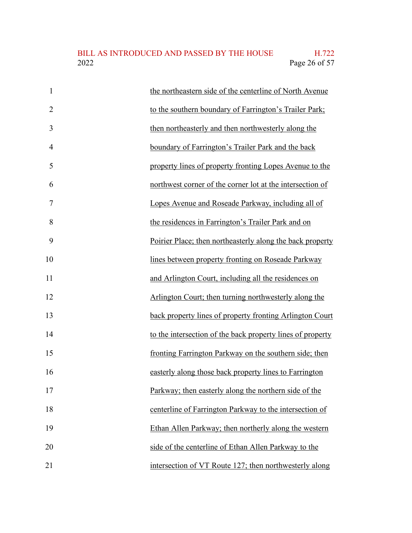### BILL AS INTRODUCED AND PASSED BY THE HOUSE H.722<br>2022 Page 26 of 57 Page 26 of 57

| $\mathbf{1}$   | the northeastern side of the centerline of North Avenue    |
|----------------|------------------------------------------------------------|
| $\overline{2}$ | to the southern boundary of Farrington's Trailer Park;     |
| 3              | then northeasterly and then northwesterly along the        |
| $\overline{4}$ | boundary of Farrington's Trailer Park and the back         |
| 5              | property lines of property fronting Lopes Avenue to the    |
| 6              | northwest corner of the corner lot at the intersection of  |
| 7              | Lopes Avenue and Roseade Parkway, including all of         |
| 8              | the residences in Farrington's Trailer Park and on         |
| 9              | Poirier Place; then northeasterly along the back property  |
| 10             | lines between property fronting on Roseade Parkway         |
| 11             | and Arlington Court, including all the residences on       |
| 12             | Arlington Court; then turning northwesterly along the      |
| 13             | back property lines of property fronting Arlington Court   |
| 14             | to the intersection of the back property lines of property |
| 15             | fronting Farrington Parkway on the southern side; then     |
| 16             | easterly along those back property lines to Farrington     |
| 17             | Parkway; then easterly along the northern side of the      |
| 18             | centerline of Farrington Parkway to the intersection of    |
| 19             | Ethan Allen Parkway; then northerly along the western      |
| 20             | side of the centerline of Ethan Allen Parkway to the       |
| 21             | intersection of VT Route 127; then northwesterly along     |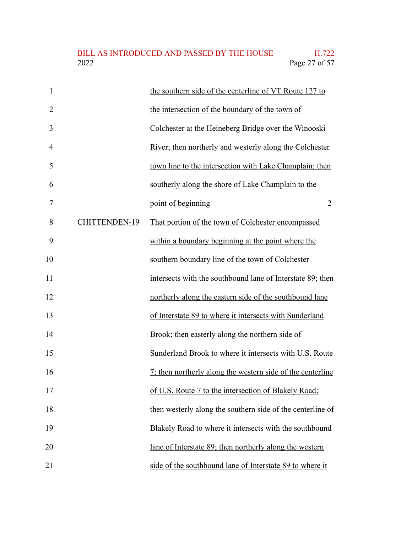### BILL AS INTRODUCED AND PASSED BY THE HOUSE H.722<br>2022 Page 27 of 57 Page 27 of 57

| $\mathbf{1}$   |                      | the southern side of the centerline of VT Route 127 to     |
|----------------|----------------------|------------------------------------------------------------|
| $\overline{2}$ |                      | the intersection of the boundary of the town of            |
| 3              |                      | Colchester at the Heineberg Bridge over the Winooski       |
| $\overline{4}$ |                      | River; then northerly and westerly along the Colchester    |
| 5              |                      | town line to the intersection with Lake Champlain; then    |
| 6              |                      | southerly along the shore of Lake Champlain to the         |
| $\overline{7}$ |                      | point of beginning<br>$\overline{2}$                       |
| 8              | <b>CHITTENDEN-19</b> | That portion of the town of Colchester encompassed         |
| 9              |                      | within a boundary beginning at the point where the         |
| 10             |                      | southern boundary line of the town of Colchester           |
| 11             |                      | intersects with the southbound lane of Interstate 89; then |
| 12             |                      | northerly along the eastern side of the southbound lane    |
| 13             |                      | of Interstate 89 to where it intersects with Sunderland    |
| 14             |                      | Brook; then easterly along the northern side of            |
| 15             |                      | Sunderland Brook to where it intersects with U.S. Route    |
| 16             |                      | 7; then northerly along the western side of the centerline |
| 17             |                      | of U.S. Route 7 to the intersection of Blakely Road;       |
| 18             |                      | then westerly along the southern side of the centerline of |
| 19             |                      | Blakely Road to where it intersects with the southbound    |
| 20             |                      | lane of Interstate 89; then northerly along the western    |
| 21             |                      | side of the southbound lane of Interstate 89 to where it   |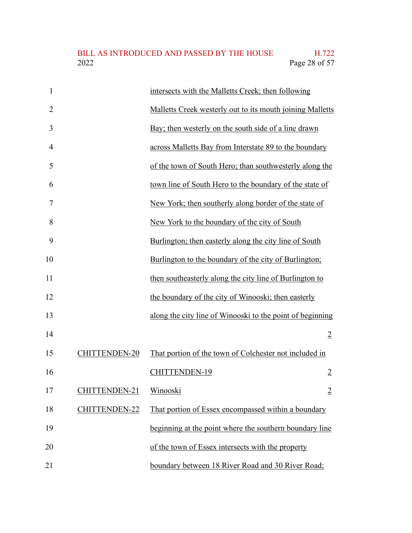### BILL AS INTRODUCED AND PASSED BY THE HOUSE H.722<br>2022 Page 28 of 57 Page 28 of 57

| $\mathbf{1}$   |               | intersects with the Malletts Creek; then following        |
|----------------|---------------|-----------------------------------------------------------|
| $\overline{2}$ |               | Malletts Creek westerly out to its mouth joining Malletts |
| 3              |               | Bay; then westerly on the south side of a line drawn      |
| $\overline{4}$ |               | across Malletts Bay from Interstate 89 to the boundary    |
| 5              |               | of the town of South Hero; than southwesterly along the   |
| 6              |               | town line of South Hero to the boundary of the state of   |
| 7              |               | New York; then southerly along border of the state of     |
| 8              |               | New York to the boundary of the city of South             |
| 9              |               | Burlington; then easterly along the city line of South    |
| 10             |               | Burlington to the boundary of the city of Burlington;     |
| 11             |               | then southeasterly along the city line of Burlington to   |
| 12             |               | the boundary of the city of Winooski; then easterly       |
| 13             |               | along the city line of Winooski to the point of beginning |
| 14             |               | $\overline{2}$                                            |
| 15             | CHITTENDEN-20 | That portion of the town of Colchester not included in    |
| 16             |               | CHITTENDEN-19<br>$\overline{2}$                           |
| 17             | CHITTENDEN-21 | Winooski<br>$\overline{2}$                                |
| 18             | CHITTENDEN-22 | That portion of Essex encompassed within a boundary       |
| 19             |               | beginning at the point where the southern boundary line   |
| 20             |               | of the town of Essex intersects with the property         |
| 21             |               | boundary between 18 River Road and 30 River Road;         |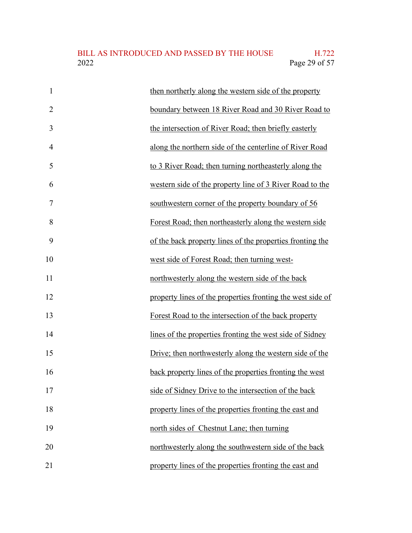### BILL AS INTRODUCED AND PASSED BY THE HOUSE H.722<br>2022 Page 29 of 57 Page 29 of 57

| $\mathbf{1}$   | then northerly along the western side of the property      |
|----------------|------------------------------------------------------------|
| $\overline{2}$ | boundary between 18 River Road and 30 River Road to        |
| 3              | the intersection of River Road; then briefly easterly      |
| $\overline{4}$ | along the northern side of the centerline of River Road    |
| 5              | to 3 River Road; then turning northeasterly along the      |
| 6              | western side of the property line of 3 River Road to the   |
| 7              | southwestern corner of the property boundary of 56         |
| 8              | Forest Road; then northeasterly along the western side     |
| 9              | of the back property lines of the properties fronting the  |
| 10             | west side of Forest Road; then turning west-               |
| 11             | northwesterly along the western side of the back           |
| 12             | property lines of the properties fronting the west side of |
| 13             | Forest Road to the intersection of the back property       |
| 14             | lines of the properties fronting the west side of Sidney   |
| 15             | Drive; then northwesterly along the western side of the    |
| 16             | back property lines of the properties fronting the west    |
| 17             | side of Sidney Drive to the intersection of the back       |
| 18             | property lines of the properties fronting the east and     |
| 19             | north sides of Chestnut Lane; then turning                 |
| 20             | northwesterly along the southwestern side of the back      |
| 21             | property lines of the properties fronting the east and     |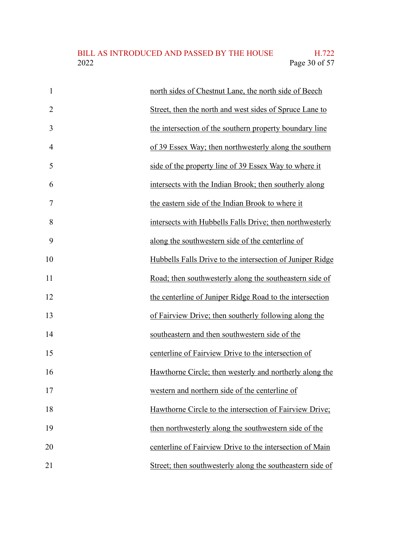### BILL AS INTRODUCED AND PASSED BY THE HOUSE H.722<br>2022 Page 30 of 57 Page 30 of 57

| $\mathbf{1}$   | north sides of Chestnut Lane, the north side of Beech     |
|----------------|-----------------------------------------------------------|
| $\overline{2}$ | Street, then the north and west sides of Spruce Lane to   |
| 3              | the intersection of the southern property boundary line   |
| $\overline{4}$ | of 39 Essex Way; then northwesterly along the southern    |
| 5              | side of the property line of 39 Essex Way to where it     |
| 6              | intersects with the Indian Brook; then southerly along    |
| 7              | the eastern side of the Indian Brook to where it          |
| 8              | intersects with Hubbells Falls Drive; then northwesterly  |
| 9              | along the southwestern side of the centerline of          |
| 10             | Hubbells Falls Drive to the intersection of Juniper Ridge |
| 11             | Road; then southwesterly along the southeastern side of   |
| 12             | the centerline of Juniper Ridge Road to the intersection  |
| 13             | of Fairview Drive; then southerly following along the     |
| 14             | southeastern and then southwestern side of the            |
| 15             | centerline of Fairview Drive to the intersection of       |
| 16             | Hawthorne Circle; then westerly and northerly along the   |
| 17             | western and northern side of the centerline of            |
| 18             | Hawthorne Circle to the intersection of Fairview Drive;   |
| 19             | then northwesterly along the southwestern side of the     |
| 20             | centerline of Fairview Drive to the intersection of Main  |
| 21             | Street; then southwesterly along the southeastern side of |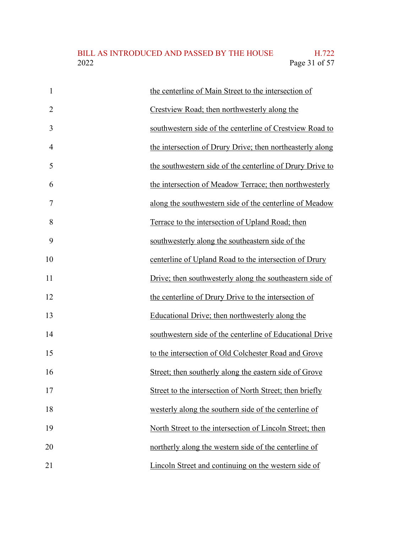| 1              | the centerline of Main Street to the intersection of      |
|----------------|-----------------------------------------------------------|
| $\overline{2}$ | Crestview Road; then northwesterly along the              |
| 3              | southwestern side of the centerline of Crestview Road to  |
| $\overline{4}$ | the intersection of Drury Drive; then northeasterly along |
| 5              | the southwestern side of the centerline of Drury Drive to |
| 6              | the intersection of Meadow Terrace; then northwesterly    |
| 7              | along the southwestern side of the centerline of Meadow   |
| 8              | Terrace to the intersection of Upland Road; then          |
| 9              | southwesterly along the southeastern side of the          |
| 10             | centerline of Upland Road to the intersection of Drury    |
| 11             | Drive; then southwesterly along the southeastern side of  |
| 12             | the centerline of Drury Drive to the intersection of      |
| 13             | Educational Drive; then northwesterly along the           |
| 14             | southwestern side of the centerline of Educational Drive  |
| 15             | to the intersection of Old Colchester Road and Grove      |
| 16             | Street; then southerly along the eastern side of Grove    |
| 17             | Street to the intersection of North Street; then briefly  |
| 18             | westerly along the southern side of the centerline of     |
| 19             | North Street to the intersection of Lincoln Street; then  |
| 20             | northerly along the western side of the centerline of     |
| 21             | Lincoln Street and continuing on the western side of      |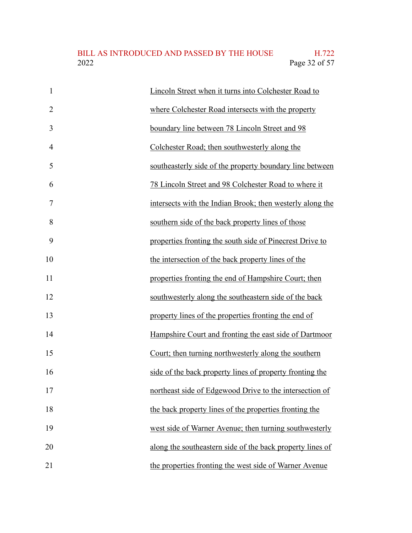| $\mathbf{1}$   | Lincoln Street when it turns into Colchester Road to      |
|----------------|-----------------------------------------------------------|
| $\overline{2}$ | where Colchester Road intersects with the property        |
| 3              | boundary line between 78 Lincoln Street and 98            |
| $\overline{4}$ | Colchester Road; then southwesterly along the             |
| 5              | southeasterly side of the property boundary line between  |
| 6              | 78 Lincoln Street and 98 Colchester Road to where it      |
| 7              | intersects with the Indian Brook; then westerly along the |
| 8              | southern side of the back property lines of those         |
| 9              | properties fronting the south side of Pinecrest Drive to  |
| 10             | the intersection of the back property lines of the        |
| 11             | properties fronting the end of Hampshire Court; then      |
| 12             | southwesterly along the southeastern side of the back     |
| 13             | property lines of the properties fronting the end of      |
| 14             | Hampshire Court and fronting the east side of Dartmoor    |
| 15             | Court; then turning northwesterly along the southern      |
| 16             | side of the back property lines of property fronting the  |
| 17             | northeast side of Edgewood Drive to the intersection of   |
| 18             | the back property lines of the properties fronting the    |
| 19             | west side of Warner Avenue; then turning southwesterly    |
| 20             | along the southeastern side of the back property lines of |
| 21             | the properties fronting the west side of Warner Avenue    |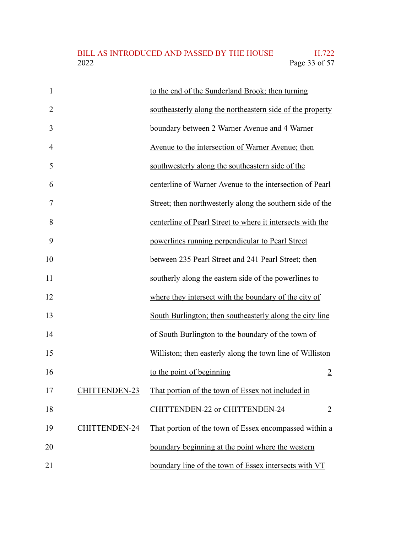| $\mathbf{1}$   |               | to the end of the Sunderland Brook; then turning           |
|----------------|---------------|------------------------------------------------------------|
| $\overline{2}$ |               | southeasterly along the northeastern side of the property  |
| 3              |               | boundary between 2 Warner Avenue and 4 Warner              |
| $\overline{4}$ |               | Avenue to the intersection of Warner Avenue; then          |
| 5              |               | southwesterly along the southeastern side of the           |
| 6              |               | centerline of Warner Avenue to the intersection of Pearl   |
| 7              |               | Street; then northwesterly along the southern side of the  |
| 8              |               | centerline of Pearl Street to where it intersects with the |
| 9              |               | powerlines running perpendicular to Pearl Street           |
| 10             |               | between 235 Pearl Street and 241 Pearl Street; then        |
| 11             |               | southerly along the eastern side of the powerlines to      |
| 12             |               | where they intersect with the boundary of the city of      |
| 13             |               | South Burlington; then southeasterly along the city line   |
| 14             |               | of South Burlington to the boundary of the town of         |
| 15             |               | Williston; then easterly along the town line of Williston  |
| 16             |               | to the point of beginning<br>$\overline{2}$                |
| 17             | CHITTENDEN-23 | That portion of the town of Essex not included in          |
| 18             |               | CHITTENDEN-22 or CHITTENDEN-24<br>$\overline{2}$           |
| 19             | CHITTENDEN-24 | That portion of the town of Essex encompassed within a     |
| 20             |               | boundary beginning at the point where the western          |
| 21             |               | boundary line of the town of Essex intersects with VT      |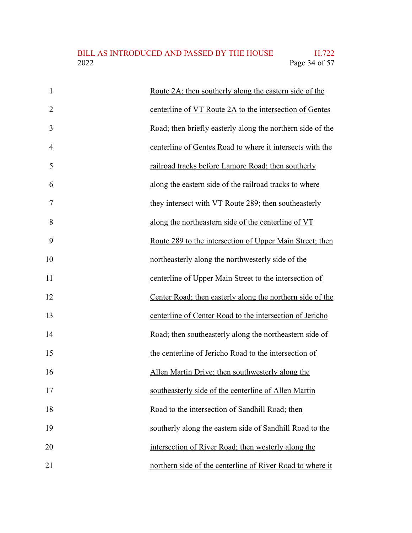### BILL AS INTRODUCED AND PASSED BY THE HOUSE H.722<br>2022 Page 34 of 57 Page 34 of 57

| $\mathbf{1}$   | Route 2A; then southerly along the eastern side of the     |
|----------------|------------------------------------------------------------|
| $\overline{2}$ | centerline of VT Route 2A to the intersection of Gentes    |
| 3              | Road; then briefly easterly along the northern side of the |
| $\overline{4}$ | centerline of Gentes Road to where it intersects with the  |
| 5              | railroad tracks before Lamore Road; then southerly         |
| 6              | along the eastern side of the railroad tracks to where     |
| $\overline{7}$ | they intersect with VT Route 289; then southeasterly       |
| 8              | along the northeastern side of the centerline of VT        |
| 9              | Route 289 to the intersection of Upper Main Street; then   |
| 10             | northeasterly along the northwesterly side of the          |
| 11             | centerline of Upper Main Street to the intersection of     |
| 12             | Center Road; then easterly along the northern side of the  |
| 13             | centerline of Center Road to the intersection of Jericho   |
| 14             | Road; then southeasterly along the northeastern side of    |
| 15             | the centerline of Jericho Road to the intersection of      |
| 16             | Allen Martin Drive; then southwesterly along the           |
| 17             | southeasterly side of the centerline of Allen Martin       |
| 18             | Road to the intersection of Sandhill Road; then            |
| 19             | southerly along the eastern side of Sandhill Road to the   |
| 20             | intersection of River Road; then westerly along the        |
| 21             | northern side of the centerline of River Road to where it  |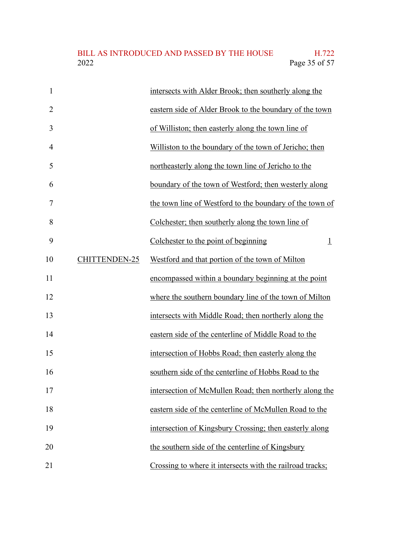### BILL AS INTRODUCED AND PASSED BY THE HOUSE H.722<br>2022 Page 35 of 57 Page 35 of 57

| $\mathbf{1}$   |                      | intersects with Alder Brook; then southerly along the           |
|----------------|----------------------|-----------------------------------------------------------------|
| $\overline{2}$ |                      | eastern side of Alder Brook to the boundary of the town         |
| 3              |                      | of Williston; then easterly along the town line of              |
| 4              |                      | Williston to the boundary of the town of Jericho; then          |
| 5              |                      | northeasterly along the town line of Jericho to the             |
| 6              |                      | boundary of the town of Westford; then westerly along           |
| 7              |                      | the town line of Westford to the boundary of the town of        |
| 8              |                      | Colchester; then southerly along the town line of               |
| 9              |                      | Colchester to the point of beginning<br>$\overline{\mathbf{1}}$ |
| 10             | <b>CHITTENDEN-25</b> | Westford and that portion of the town of Milton                 |
| 11             |                      | encompassed within a boundary beginning at the point            |
| 12             |                      | where the southern boundary line of the town of Milton          |
| 13             |                      | intersects with Middle Road; then northerly along the           |
| 14             |                      | eastern side of the centerline of Middle Road to the            |
| 15             |                      | intersection of Hobbs Road; then easterly along the             |
| 16             |                      | southern side of the centerline of Hobbs Road to the            |
| 17             |                      | intersection of McMullen Road; then northerly along the         |
| 18             |                      | eastern side of the centerline of McMullen Road to the          |
| 19             |                      | intersection of Kingsbury Crossing; then easterly along         |
| 20             |                      | the southern side of the centerline of Kingsbury                |
| 21             |                      | Crossing to where it intersects with the railroad tracks;       |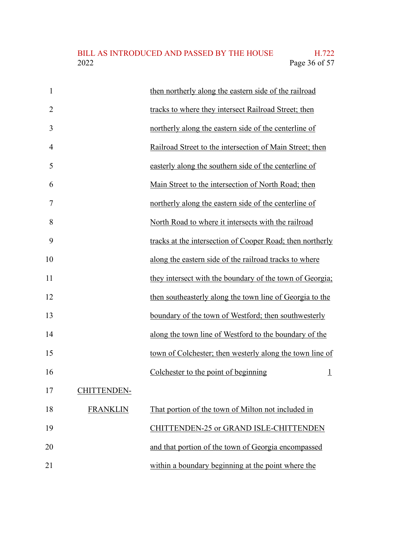| $\mathbf{1}$   |                 | then northerly along the eastern side of the railroad     |
|----------------|-----------------|-----------------------------------------------------------|
| $\overline{2}$ |                 | tracks to where they intersect Railroad Street; then      |
| 3              |                 | northerly along the eastern side of the centerline of     |
| $\overline{4}$ |                 | Railroad Street to the intersection of Main Street; then  |
| 5              |                 | easterly along the southern side of the centerline of     |
| 6              |                 | Main Street to the intersection of North Road; then       |
| 7              |                 | northerly along the eastern side of the centerline of     |
| 8              |                 | North Road to where it intersects with the railroad       |
| 9              |                 | tracks at the intersection of Cooper Road; then northerly |
| 10             |                 | along the eastern side of the railroad tracks to where    |
| 11             |                 | they intersect with the boundary of the town of Georgia;  |
| 12             |                 | then southeasterly along the town line of Georgia to the  |
| 13             |                 | boundary of the town of Westford; then southwesterly      |
| 14             |                 | along the town line of Westford to the boundary of the    |
| 15             |                 | town of Colchester; then westerly along the town line of  |
| 16             |                 | Colchester to the point of beginning<br>$\perp$           |
| 17             | CHITTENDEN-     |                                                           |
| 18             | <b>FRANKLIN</b> | That portion of the town of Milton not included in        |
| 19             |                 | CHITTENDEN-25 or GRAND ISLE-CHITTENDEN                    |
| 20             |                 | and that portion of the town of Georgia encompassed       |
| 21             |                 | within a boundary beginning at the point where the        |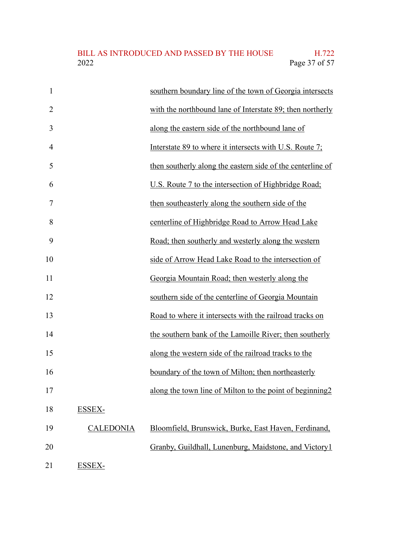| $\mathbf{1}$   |                  | southern boundary line of the town of Georgia intersects   |
|----------------|------------------|------------------------------------------------------------|
| $\overline{2}$ |                  | with the northbound lane of Interstate 89; then northerly  |
| 3              |                  | along the eastern side of the northbound lane of           |
| 4              |                  | Interstate 89 to where it intersects with U.S. Route 7;    |
| 5              |                  | then southerly along the eastern side of the centerline of |
| 6              |                  | U.S. Route 7 to the intersection of Highbridge Road;       |
| 7              |                  | then southeasterly along the southern side of the          |
| 8              |                  | centerline of Highbridge Road to Arrow Head Lake           |
| 9              |                  | Road; then southerly and westerly along the western        |
| 10             |                  | side of Arrow Head Lake Road to the intersection of        |
| 11             |                  | Georgia Mountain Road; then westerly along the             |
| 12             |                  | southern side of the centerline of Georgia Mountain        |
| 13             |                  | Road to where it intersects with the railroad tracks on    |
| 14             |                  | the southern bank of the Lamoille River; then southerly    |
| 15             |                  | along the western side of the railroad tracks to the       |
| 16             |                  | boundary of the town of Milton; then northeasterly         |
| 17             |                  | along the town line of Milton to the point of beginning2   |
| 18             | <b>ESSEX-</b>    |                                                            |
| 19             | <b>CALEDONIA</b> | Bloomfield, Brunswick, Burke, East Haven, Ferdinand,       |
| 20             |                  | Granby, Guildhall, Lunenburg, Maidstone, and Victory1      |
| 21             | ESSEX-           |                                                            |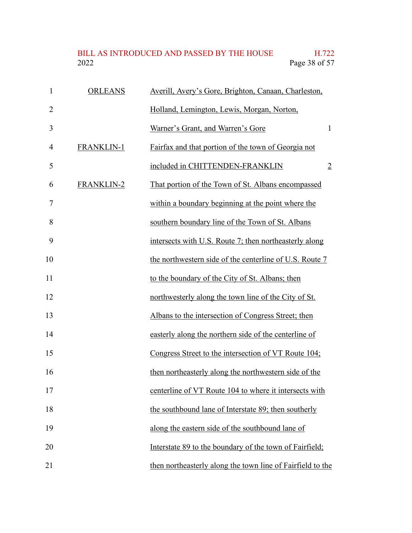### BILL AS INTRODUCED AND PASSED BY THE HOUSE H.722<br>2022 Page 38 of 57 Page 38 of 57

| 1              | <b>ORLEANS</b>    | Averill, Avery's Gore, Brighton, Canaan, Charleston,       |
|----------------|-------------------|------------------------------------------------------------|
| $\overline{2}$ |                   | Holland, Lemington, Lewis, Morgan, Norton,                 |
| 3              |                   | Warner's Grant, and Warren's Gore<br>$\mathbf{1}$          |
| 4              | <b>FRANKLIN-1</b> | Fairfax and that portion of the town of Georgia not        |
| 5              |                   | included in CHITTENDEN-FRANKLIN<br>$\overline{2}$          |
| 6              | FRANKLIN-2        | That portion of the Town of St. Albans encompassed         |
| 7              |                   | within a boundary beginning at the point where the         |
| 8              |                   | southern boundary line of the Town of St. Albans           |
| 9              |                   | intersects with U.S. Route 7; then northeasterly along     |
| 10             |                   | the northwestern side of the centerline of U.S. Route 7    |
| 11             |                   | to the boundary of the City of St. Albans; then            |
| 12             |                   | northwesterly along the town line of the City of St.       |
| 13             |                   | Albans to the intersection of Congress Street; then        |
| 14             |                   | easterly along the northern side of the centerline of      |
| 15             |                   | Congress Street to the intersection of VT Route 104;       |
| 16             |                   | then northeasterly along the northwestern side of the      |
| 17             |                   | centerline of VT Route 104 to where it intersects with     |
| 18             |                   | the southbound lane of Interstate 89; then southerly       |
| 19             |                   | along the eastern side of the southbound lane of           |
| 20             |                   | Interstate 89 to the boundary of the town of Fairfield;    |
| 21             |                   | then northeasterly along the town line of Fairfield to the |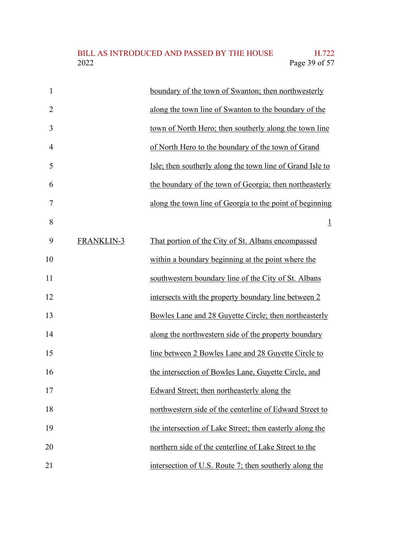### BILL AS INTRODUCED AND PASSED BY THE HOUSE H.722<br>2022 Page 39 of 57 Page 39 of 57

| $\mathbf{1}$   |                   | boundary of the town of Swanton; then northwesterly       |
|----------------|-------------------|-----------------------------------------------------------|
| $\overline{2}$ |                   | along the town line of Swanton to the boundary of the     |
| 3              |                   | town of North Hero; then southerly along the town line    |
| 4              |                   | of North Hero to the boundary of the town of Grand        |
| 5              |                   | Isle; then southerly along the town line of Grand Isle to |
| 6              |                   | the boundary of the town of Georgia; then northeasterly   |
| 7              |                   | along the town line of Georgia to the point of beginning  |
| 8              |                   | $\overline{1}$                                            |
| 9              | <b>FRANKLIN-3</b> | That portion of the City of St. Albans encompassed        |
| 10             |                   | within a boundary beginning at the point where the        |
| 11             |                   | southwestern boundary line of the City of St. Albans      |
| 12             |                   | intersects with the property boundary line between 2      |
| 13             |                   | Bowles Lane and 28 Guyette Circle; then northeasterly     |
| 14             |                   | along the northwestern side of the property boundary      |
| 15             |                   | line between 2 Bowles Lane and 28 Guyette Circle to       |
| 16             |                   | the intersection of Bowles Lane, Guyette Circle, and      |
| 17             |                   | Edward Street; then northeasterly along the               |
| 18             |                   | northwestern side of the centerline of Edward Street to   |
| 19             |                   | the intersection of Lake Street; then easterly along the  |
| 20             |                   | northern side of the centerline of Lake Street to the     |
| 21             |                   | intersection of U.S. Route 7; then southerly along the    |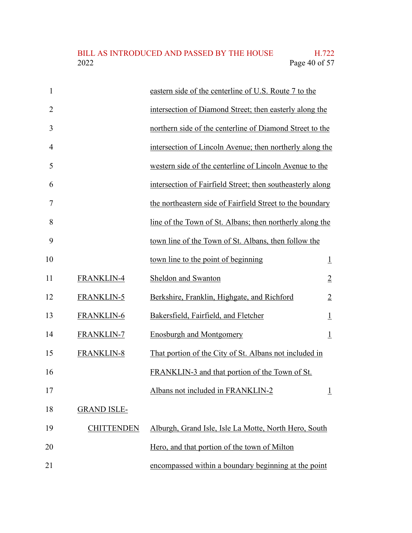| 1              |                    | eastern side of the centerline of U.S. Route 7 to the      |                    |
|----------------|--------------------|------------------------------------------------------------|--------------------|
| $\overline{2}$ |                    | intersection of Diamond Street; then easterly along the    |                    |
| 3              |                    | northern side of the centerline of Diamond Street to the   |                    |
| $\overline{4}$ |                    | intersection of Lincoln Avenue; then northerly along the   |                    |
| 5              |                    | western side of the centerline of Lincoln Avenue to the    |                    |
| 6              |                    | intersection of Fairfield Street; then southeasterly along |                    |
| 7              |                    | the northeastern side of Fairfield Street to the boundary  |                    |
| 8              |                    | line of the Town of St. Albans; then northerly along the   |                    |
| 9              |                    | town line of the Town of St. Albans, then follow the       |                    |
| 10             |                    | town line to the point of beginning                        | $\perp$            |
| 11             | <b>FRANKLIN-4</b>  | Sheldon and Swanton                                        | $\overline{2}$     |
| 12             | FRANKLIN-5         | Berkshire, Franklin, Highgate, and Richford                | $\overline{2}$     |
| 13             | <b>FRANKLIN-6</b>  | Bakersfield, Fairfield, and Fletcher                       | $\overline{\perp}$ |
| 14             | FRANKLIN-7         | <b>Enosburgh and Montgomery</b>                            | $\overline{1}$     |
| 15             | FRANKLIN-8         | That portion of the City of St. Albans not included in     |                    |
| 16             |                    | FRANKLIN-3 and that portion of the Town of St.             |                    |
| 17             |                    | Albans not included in FRANKLIN-2                          | $\overline{\perp}$ |
| 18             | <b>GRAND ISLE-</b> |                                                            |                    |
| 19             | <b>CHITTENDEN</b>  | Alburgh, Grand Isle, Isle La Motte, North Hero, South      |                    |
| 20             |                    | Hero, and that portion of the town of Milton               |                    |
| 21             |                    | encompassed within a boundary beginning at the point       |                    |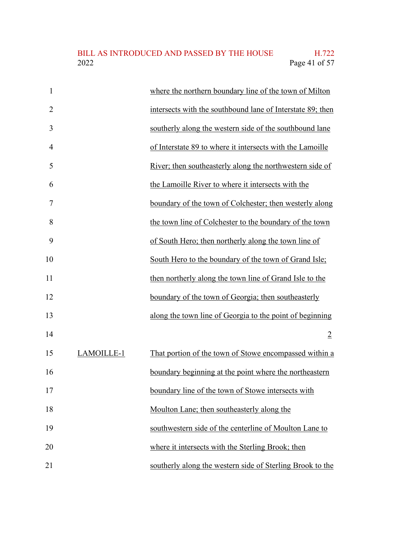### BILL AS INTRODUCED AND PASSED BY THE HOUSE H.722<br>2022 Page 41 of 57 Page 41 of 57

| $\mathbf{1}$   |            | where the northern boundary line of the town of Milton     |
|----------------|------------|------------------------------------------------------------|
| $\overline{2}$ |            | intersects with the southbound lane of Interstate 89; then |
| 3              |            | southerly along the western side of the southbound lane    |
| $\overline{4}$ |            | of Interstate 89 to where it intersects with the Lamoille  |
| 5              |            | River; then southeasterly along the northwestern side of   |
| 6              |            | the Lamoille River to where it intersects with the         |
| 7              |            | boundary of the town of Colchester; then westerly along    |
| 8              |            | the town line of Colchester to the boundary of the town    |
| 9              |            | of South Hero; then northerly along the town line of       |
| 10             |            | South Hero to the boundary of the town of Grand Isle;      |
| 11             |            | then northerly along the town line of Grand Isle to the    |
| 12             |            | boundary of the town of Georgia; then southeasterly        |
| 13             |            | along the town line of Georgia to the point of beginning   |
| 14             |            | $\overline{2}$                                             |
| 15             | LAMOILLE-1 | That portion of the town of Stowe encompassed within a     |
| 16             |            | boundary beginning at the point where the northeastern     |
| 17             |            | boundary line of the town of Stowe intersects with         |
| 18             |            | Moulton Lane; then southeasterly along the                 |
| 19             |            | southwestern side of the centerline of Moulton Lane to     |
| 20             |            | where it intersects with the Sterling Brook; then          |
| 21             |            | southerly along the western side of Sterling Brook to the  |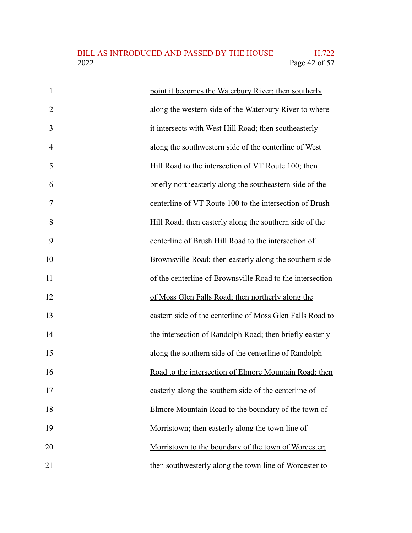### BILL AS INTRODUCED AND PASSED BY THE HOUSE H.722<br>2022 Page 42 of 57 Page 42 of 57

| $\mathbf{1}$   | point it becomes the Waterbury River; then southerly      |
|----------------|-----------------------------------------------------------|
| $\overline{2}$ | along the western side of the Waterbury River to where    |
| 3              | it intersects with West Hill Road; then southeasterly     |
| $\overline{4}$ | along the southwestern side of the centerline of West     |
| 5              | Hill Road to the intersection of VT Route 100; then       |
| 6              | briefly northeasterly along the southeastern side of the  |
| 7              | centerline of VT Route 100 to the intersection of Brush   |
| 8              | Hill Road; then easterly along the southern side of the   |
| 9              | centerline of Brush Hill Road to the intersection of      |
| 10             | Brownsville Road; then easterly along the southern side   |
| 11             | of the centerline of Brownsville Road to the intersection |
| 12             | of Moss Glen Falls Road; then northerly along the         |
| 13             | eastern side of the centerline of Moss Glen Falls Road to |
| 14             | the intersection of Randolph Road; then briefly easterly  |
| 15             | along the southern side of the centerline of Randolph     |
| 16             | Road to the intersection of Elmore Mountain Road; then    |
| 17             | easterly along the southern side of the centerline of     |
| 18             | Elmore Mountain Road to the boundary of the town of       |
| 19             | Morristown; then easterly along the town line of          |
| 20             | Morristown to the boundary of the town of Worcester;      |
| 21             | then southwesterly along the town line of Worcester to    |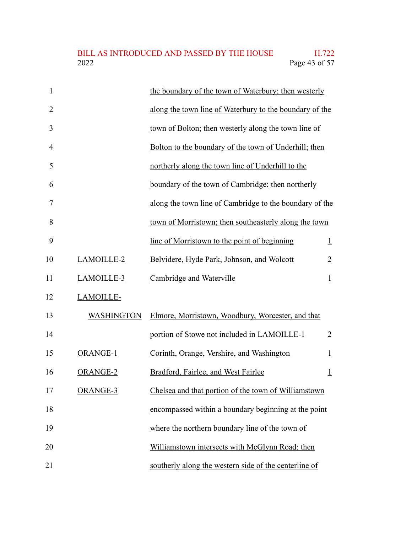| $\mathbf{1}$   |                   | the boundary of the town of Waterbury; then westerly    |                    |
|----------------|-------------------|---------------------------------------------------------|--------------------|
| $\overline{2}$ |                   | along the town line of Waterbury to the boundary of the |                    |
| 3              |                   | town of Bolton; then westerly along the town line of    |                    |
| $\overline{4}$ |                   | Bolton to the boundary of the town of Underhill; then   |                    |
| 5              |                   | northerly along the town line of Underhill to the       |                    |
| 6              |                   | boundary of the town of Cambridge; then northerly       |                    |
| $\overline{7}$ |                   | along the town line of Cambridge to the boundary of the |                    |
| 8              |                   | town of Morristown; then southeasterly along the town   |                    |
| 9              |                   | line of Morristown to the point of beginning            | $\perp$            |
| 10             | LAMOILLE-2        | Belvidere, Hyde Park, Johnson, and Wolcott              | $\overline{2}$     |
| 11             | LAMOILLE-3        | Cambridge and Waterville                                | $\overline{1}$     |
| 12             | LAMOILLE-         |                                                         |                    |
| 13             | <b>WASHINGTON</b> | Elmore, Morristown, Woodbury, Worcester, and that       |                    |
| 14             |                   | portion of Stowe not included in LAMOILLE-1             | $\overline{2}$     |
| 15             | <b>ORANGE-1</b>   | Corinth, Orange, Vershire, and Washington               | $\perp$            |
| 16             | ORANGE-2          | Bradford, Fairlee, and West Fairlee                     | $\overline{\perp}$ |
| 17             | ORANGE-3          | Chelsea and that portion of the town of Williamstown    |                    |
| 18             |                   | encompassed within a boundary beginning at the point    |                    |
| 19             |                   | where the northern boundary line of the town of         |                    |
| 20             |                   | Williamstown intersects with McGlynn Road; then         |                    |
| 21             |                   | southerly along the western side of the centerline of   |                    |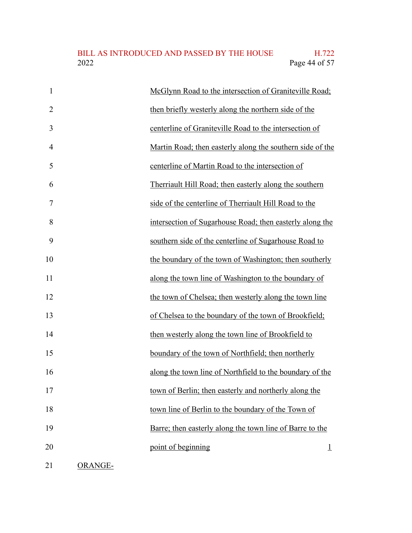| $\mathbf{1}$   | McGlynn Road to the intersection of Graniteville Road;    |
|----------------|-----------------------------------------------------------|
| $\overline{2}$ | then briefly westerly along the northern side of the      |
| 3              | centerline of Graniteville Road to the intersection of    |
| $\overline{4}$ | Martin Road; then easterly along the southern side of the |
| 5              | centerline of Martin Road to the intersection of          |
| 6              | Therriault Hill Road; then easterly along the southern    |
| 7              | side of the centerline of Therriault Hill Road to the     |
| 8              | intersection of Sugarhouse Road; then easterly along the  |
| 9              | southern side of the centerline of Sugarhouse Road to     |
| 10             | the boundary of the town of Washington; then southerly    |
| 11             | along the town line of Washington to the boundary of      |
| 12             | the town of Chelsea; then westerly along the town line    |
| 13             | of Chelsea to the boundary of the town of Brookfield;     |
| 14             | then westerly along the town line of Brookfield to        |
| 15             | boundary of the town of Northfield; then northerly        |
| 16             | along the town line of Northfield to the boundary of the  |
| 17             | town of Berlin; then easterly and northerly along the     |
| 18             | town line of Berlin to the boundary of the Town of        |
| 19             | Barre; then easterly along the town line of Barre to the  |
| 20             | point of beginning<br>$\perp$                             |

21 ORANGE-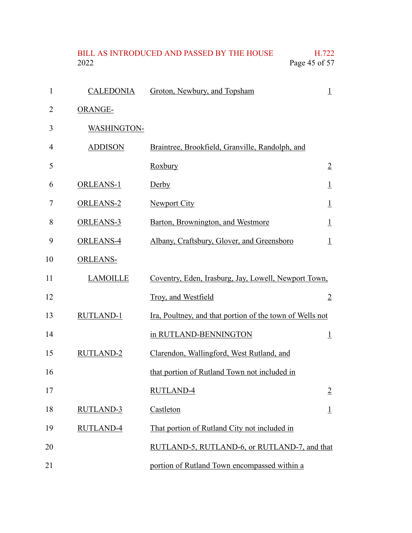BILL AS INTRODUCED AND PASSED BY THE HOUSE H.722<br>2022 Page 45 of 57 Page 45 of 57

| 1  | <b>CALEDONIA</b>   | Groton, Newbury, and Topsham                             | $\overline{\perp}$ |
|----|--------------------|----------------------------------------------------------|--------------------|
| 2  | <b>ORANGE-</b>     |                                                          |                    |
| 3  | <b>WASHINGTON-</b> |                                                          |                    |
| 4  | <b>ADDISON</b>     | Braintree, Brookfield, Granville, Randolph, and          |                    |
| 5  |                    | Roxbury                                                  | $\overline{2}$     |
| 6  | <b>ORLEANS-1</b>   | Derby                                                    | $\perp$            |
| 7  | <b>ORLEANS-2</b>   | <b>Newport City</b>                                      | $\perp$            |
| 8  | <b>ORLEANS-3</b>   | Barton, Brownington, and Westmore                        | $\perp$            |
| 9  | ORLEANS-4          | Albany, Craftsbury, Glover, and Greensboro               | $\perp$            |
| 10 | <b>ORLEANS-</b>    |                                                          |                    |
| 11 | <b>LAMOILLE</b>    | Coventry, Eden, Irasburg, Jay, Lowell, Newport Town,     |                    |
| 12 |                    | Troy, and Westfield                                      | $\overline{2}$     |
| 13 | <b>RUTLAND-1</b>   | Ira, Poultney, and that portion of the town of Wells not |                    |
| 14 |                    | in RUTLAND-BENNINGTON                                    | $\perp$            |
| 15 | <b>RUTLAND-2</b>   | Clarendon, Wallingford, West Rutland, and                |                    |
| 16 |                    | that portion of Rutland Town not included in             |                    |
| 17 |                    | <b>RUTLAND-4</b>                                         | $\overline{2}$     |
| 18 | <b>RUTLAND-3</b>   | Castleton                                                | $\perp$            |
| 19 | <b>RUTLAND-4</b>   | That portion of Rutland City not included in             |                    |
| 20 |                    | RUTLAND-5, RUTLAND-6, or RUTLAND-7, and that             |                    |
| 21 |                    | portion of Rutland Town encompassed within a             |                    |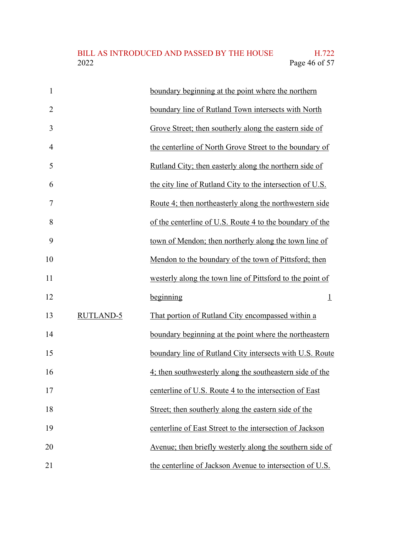### BILL AS INTRODUCED AND PASSED BY THE HOUSE H.722<br>2022 Page 46 of 57 Page 46 of 57

| $\mathbf{1}$   |                  | boundary beginning at the point where the northern        |
|----------------|------------------|-----------------------------------------------------------|
| $\overline{2}$ |                  | boundary line of Rutland Town intersects with North       |
| 3              |                  | Grove Street; then southerly along the eastern side of    |
| $\overline{4}$ |                  | the centerline of North Grove Street to the boundary of   |
| 5              |                  | Rutland City; then easterly along the northern side of    |
| 6              |                  | the city line of Rutland City to the intersection of U.S. |
| 7              |                  | Route 4; then northeasterly along the northwestern side   |
| 8              |                  | of the centerline of U.S. Route 4 to the boundary of the  |
| 9              |                  | town of Mendon; then northerly along the town line of     |
| 10             |                  | Mendon to the boundary of the town of Pittsford; then     |
| 11             |                  | westerly along the town line of Pittsford to the point of |
| 12             |                  | beginning<br>$\perp$                                      |
| 13             | <b>RUTLAND-5</b> | That portion of Rutland City encompassed within a         |
| 14             |                  | boundary beginning at the point where the northeastern    |
| 15             |                  | boundary line of Rutland City intersects with U.S. Route  |
| 16             |                  | 4; then southwesterly along the southeastern side of the  |
| 17             |                  | centerline of U.S. Route 4 to the intersection of East    |
| 18             |                  | Street; then southerly along the eastern side of the      |
| 19             |                  | centerline of East Street to the intersection of Jackson  |
| 20             |                  | Avenue; then briefly westerly along the southern side of  |
| 21             |                  | the centerline of Jackson Avenue to intersection of U.S.  |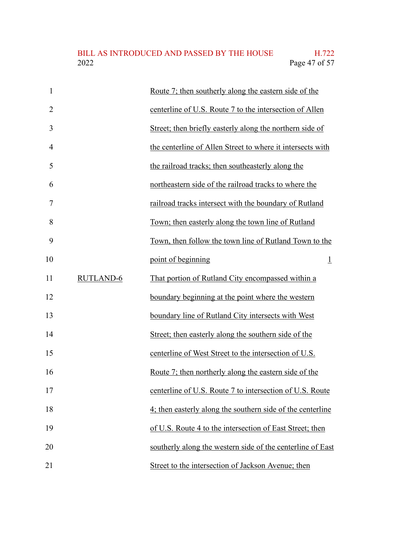| $\mathbf{1}$   |                  | Route 7; then southerly along the eastern side of the      |
|----------------|------------------|------------------------------------------------------------|
| $\overline{2}$ |                  | centerline of U.S. Route 7 to the intersection of Allen    |
| 3              |                  | Street; then briefly easterly along the northern side of   |
| $\overline{4}$ |                  | the centerline of Allen Street to where it intersects with |
| 5              |                  | the railroad tracks; then southeasterly along the          |
| 6              |                  | northeastern side of the railroad tracks to where the      |
| 7              |                  | railroad tracks intersect with the boundary of Rutland     |
| 8              |                  | Town; then easterly along the town line of Rutland         |
| 9              |                  | Town, then follow the town line of Rutland Town to the     |
| 10             |                  | point of beginning<br>$\perp$                              |
| 11             | <b>RUTLAND-6</b> | That portion of Rutland City encompassed within a          |
| 12             |                  | boundary beginning at the point where the western          |
| 13             |                  | boundary line of Rutland City intersects with West         |
| 14             |                  | Street; then easterly along the southern side of the       |
| 15             |                  | centerline of West Street to the intersection of U.S.      |
| 16             |                  | Route 7; then northerly along the eastern side of the      |
| 17             |                  | centerline of U.S. Route 7 to intersection of U.S. Route   |
| 18             |                  | 4; then easterly along the southern side of the centerline |
| 19             |                  | of U.S. Route 4 to the intersection of East Street; then   |
| 20             |                  | southerly along the western side of the centerline of East |
| 21             |                  | Street to the intersection of Jackson Avenue; then         |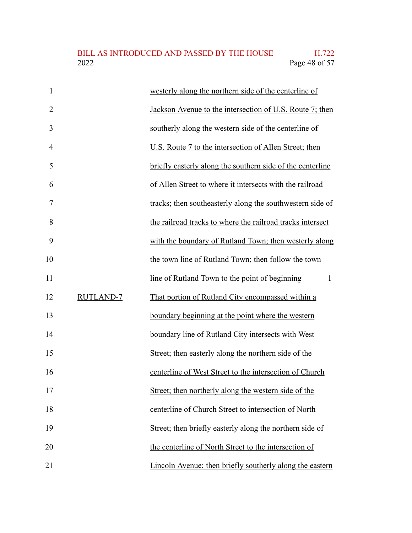### BILL AS INTRODUCED AND PASSED BY THE HOUSE H.722<br>2022 Page 48 of 57 Page 48 of 57

| $\mathbf{1}$   |                  | westerly along the northern side of the centerline of      |
|----------------|------------------|------------------------------------------------------------|
| $\overline{2}$ |                  | Jackson Avenue to the intersection of U.S. Route 7; then   |
| 3              |                  | southerly along the western side of the centerline of      |
| $\overline{4}$ |                  | U.S. Route 7 to the intersection of Allen Street; then     |
| 5              |                  | briefly easterly along the southern side of the centerline |
| 6              |                  | of Allen Street to where it intersects with the railroad   |
| $\overline{7}$ |                  | tracks; then southeasterly along the southwestern side of  |
| 8              |                  | the railroad tracks to where the railroad tracks intersect |
| 9              |                  | with the boundary of Rutland Town; then westerly along     |
| 10             |                  | the town line of Rutland Town; then follow the town        |
| 11             |                  | line of Rutland Town to the point of beginning<br>$\perp$  |
| 12             | <b>RUTLAND-7</b> | That portion of Rutland City encompassed within a          |
| 13             |                  | boundary beginning at the point where the western          |
| 14             |                  | boundary line of Rutland City intersects with West         |
| 15             |                  | Street; then easterly along the northern side of the       |
| 16             |                  | centerline of West Street to the intersection of Church    |
| 17             |                  | Street; then northerly along the western side of the       |
| 18             |                  | centerline of Church Street to intersection of North       |
| 19             |                  | Street; then briefly easterly along the northern side of   |
| 20             |                  | the centerline of North Street to the intersection of      |
| 21             |                  | Lincoln Avenue; then briefly southerly along the eastern   |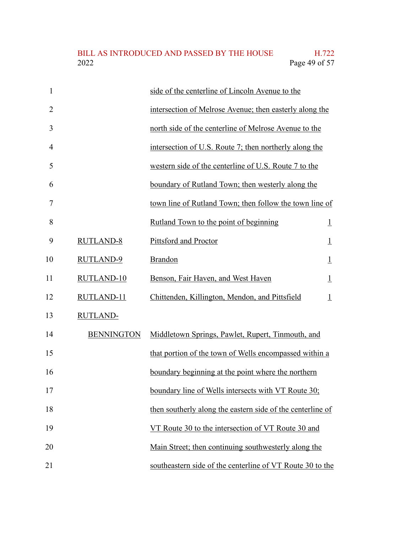### BILL AS INTRODUCED AND PASSED BY THE HOUSE H.722<br>2022 Page 49 of 57 Page 49 of 57

| 1              |                   | side of the centerline of Lincoln Avenue to the            |
|----------------|-------------------|------------------------------------------------------------|
| $\overline{2}$ |                   | intersection of Melrose Avenue; then easterly along the    |
| 3              |                   | north side of the centerline of Melrose Avenue to the      |
| $\overline{4}$ |                   | intersection of U.S. Route 7; then northerly along the     |
| 5              |                   | western side of the centerline of U.S. Route 7 to the      |
| 6              |                   | boundary of Rutland Town; then westerly along the          |
| 7              |                   | town line of Rutland Town; then follow the town line of    |
| 8              |                   | Rutland Town to the point of beginning<br>$\perp$          |
| 9              | <b>RUTLAND-8</b>  | Pittsford and Proctor<br>$\perp$                           |
| 10             | RUTLAND-9         | <b>Brandon</b><br>$\perp$                                  |
| 11             | RUTLAND-10        | Benson, Fair Haven, and West Haven<br>$\perp$              |
| 12             | RUTLAND-11        | Chittenden, Killington, Mendon, and Pittsfield<br>$\perp$  |
| 13             | <b>RUTLAND-</b>   |                                                            |
| 14             | <b>BENNINGTON</b> | Middletown Springs, Pawlet, Rupert, Tinmouth, and          |
| 15             |                   | that portion of the town of Wells encompassed within a     |
| 16             |                   | boundary beginning at the point where the northern         |
| 17             |                   | boundary line of Wells intersects with VT Route 30;        |
| 18             |                   | then southerly along the eastern side of the centerline of |
| 19             |                   | VT Route 30 to the intersection of VT Route 30 and         |
| 20             |                   | Main Street; then continuing southwesterly along the       |
| 21             |                   | southeastern side of the centerline of VT Route 30 to the  |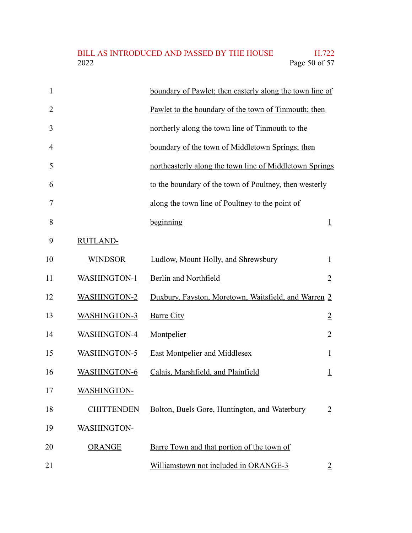### BILL AS INTRODUCED AND PASSED BY THE HOUSE H.722<br>2022 Page 50 of 57 Page 50 of 57

| $\mathbf{1}$   |                     | boundary of Pawlet; then easterly along the town line of |                |
|----------------|---------------------|----------------------------------------------------------|----------------|
| $\overline{2}$ |                     | Pawlet to the boundary of the town of Tinmouth; then     |                |
| 3              |                     | northerly along the town line of Tinmouth to the         |                |
| $\overline{4}$ |                     | boundary of the town of Middletown Springs; then         |                |
| 5              |                     | northeasterly along the town line of Middletown Springs  |                |
| 6              |                     | to the boundary of the town of Poultney, then westerly   |                |
| 7              |                     | along the town line of Poultney to the point of          |                |
| 8              |                     | beginning                                                | $\perp$        |
| 9              | <b>RUTLAND-</b>     |                                                          |                |
| 10             | <b>WINDSOR</b>      | Ludlow, Mount Holly, and Shrewsbury                      | $\perp$        |
| 11             | <b>WASHINGTON-1</b> | Berlin and Northfield                                    | $\overline{2}$ |
| 12             | <b>WASHINGTON-2</b> | Duxbury, Fayston, Moretown, Waitsfield, and Warren 2     |                |
| 13             | <b>WASHINGTON-3</b> | <b>Barre City</b>                                        | $\overline{2}$ |
| 14             | <b>WASHINGTON-4</b> | Montpelier                                               | $\overline{2}$ |
| 15             | <b>WASHINGTON-5</b> | <b>East Montpelier and Middlesex</b>                     | $\perp$        |
| 16             | WASHINGTON-6        | Calais, Marshfield, and Plainfield                       | $\perp$        |
| 17             | WASHINGTON-         |                                                          |                |
| 18             | <b>CHITTENDEN</b>   | Bolton, Buels Gore, Huntington, and Waterbury            | $\overline{2}$ |
| 19             | <b>WASHINGTON-</b>  |                                                          |                |
| 20             | <b>ORANGE</b>       | Barre Town and that portion of the town of               |                |
| 21             |                     | Williamstown not included in ORANGE-3                    | $\overline{2}$ |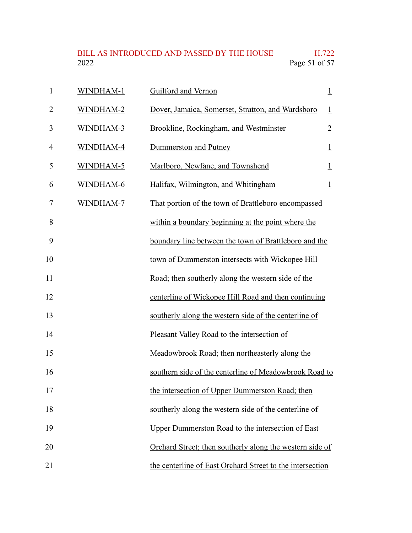BILL AS INTRODUCED AND PASSED BY THE HOUSE H.722<br>2022 Page 51 of 57 Page 51 of 57

| $\mathbf{1}$   | WINDHAM-1 | Guilford and Vernon                                       | $\perp$        |
|----------------|-----------|-----------------------------------------------------------|----------------|
| $\overline{2}$ | WINDHAM-2 | Dover, Jamaica, Somerset, Stratton, and Wardsboro         | $\perp$        |
| 3              | WINDHAM-3 | Brookline, Rockingham, and Westminster                    | $\overline{2}$ |
| 4              | WINDHAM-4 | Dummerston and Putney                                     | $\overline{1}$ |
| 5              | WINDHAM-5 | Marlboro, Newfane, and Townshend                          | $\perp$        |
| 6              | WINDHAM-6 | Halifax, Wilmington, and Whitingham                       | $\perp$        |
| 7              | WINDHAM-7 | That portion of the town of Brattleboro encompassed       |                |
| 8              |           | within a boundary beginning at the point where the        |                |
| 9              |           | boundary line between the town of Brattleboro and the     |                |
| 10             |           | town of Dummerston intersects with Wickopee Hill          |                |
| 11             |           | Road; then southerly along the western side of the        |                |
| 12             |           | centerline of Wickopee Hill Road and then continuing      |                |
| 13             |           | southerly along the western side of the centerline of     |                |
| 14             |           | Pleasant Valley Road to the intersection of               |                |
| 15             |           | Meadowbrook Road; then northeasterly along the            |                |
| 16             |           | southern side of the centerline of Meadowbrook Road to    |                |
| 17             |           | the intersection of Upper Dummerston Road; then           |                |
| 18             |           | southerly along the western side of the centerline of     |                |
| 19             |           | Upper Dummerston Road to the intersection of East         |                |
| 20             |           | Orchard Street; then southerly along the western side of  |                |
| 21             |           | the centerline of East Orchard Street to the intersection |                |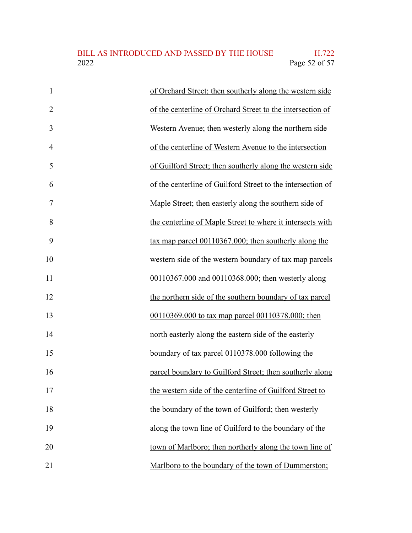### BILL AS INTRODUCED AND PASSED BY THE HOUSE H.722<br>2022 Page 52 of 57 Page 52 of 57

| $\mathbf{1}$   | of Orchard Street; then southerly along the western side    |
|----------------|-------------------------------------------------------------|
| $\overline{2}$ | of the centerline of Orchard Street to the intersection of  |
| 3              | Western Avenue; then westerly along the northern side       |
| $\overline{4}$ | of the centerline of Western Avenue to the intersection     |
| 5              | of Guilford Street; then southerly along the western side   |
| 6              | of the centerline of Guilford Street to the intersection of |
| 7              | Maple Street; then easterly along the southern side of      |
| 8              | the centerline of Maple Street to where it intersects with  |
| 9              | tax map parcel 00110367.000; then southerly along the       |
| 10             | western side of the western boundary of tax map parcels     |
| 11             | 00110367.000 and 00110368.000; then westerly along          |
| 12             | the northern side of the southern boundary of tax parcel    |
| 13             | 00110369.000 to tax map parcel 00110378.000; then           |
| 14             | north easterly along the eastern side of the easterly       |
| 15             | boundary of tax parcel 0110378.000 following the            |
| 16             | parcel boundary to Guilford Street; then southerly along    |
| 17             | the western side of the centerline of Guilford Street to    |
| 18             | the boundary of the town of Guilford; then westerly         |
| 19             | along the town line of Guilford to the boundary of the      |
| 20             | town of Marlboro; then northerly along the town line of     |
| 21             | Marlboro to the boundary of the town of Dummerston;         |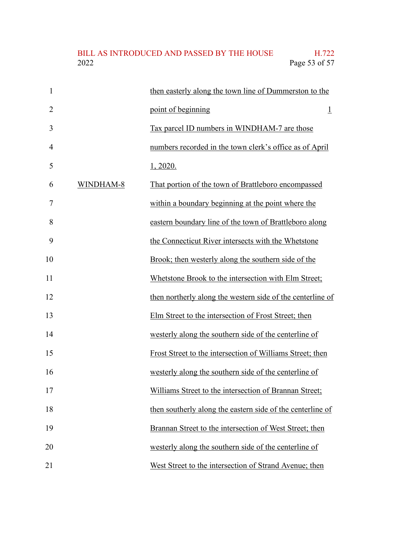### BILL AS INTRODUCED AND PASSED BY THE HOUSE H.722<br>2022 Page 53 of 57 Page 53 of 57

| $\mathbf{1}$   |           | then easterly along the town line of Dummerston to the     |
|----------------|-----------|------------------------------------------------------------|
| $\overline{2}$ |           | point of beginning<br>$\perp$                              |
| 3              |           | Tax parcel ID numbers in WINDHAM-7 are those               |
| 4              |           | numbers recorded in the town clerk's office as of April    |
| 5              |           | 1, 2020.                                                   |
| 6              | WINDHAM-8 | That portion of the town of Brattleboro encompassed        |
| 7              |           | within a boundary beginning at the point where the         |
| 8              |           | eastern boundary line of the town of Brattleboro along     |
| 9              |           | the Connecticut River intersects with the Whetstone        |
| 10             |           | Brook; then westerly along the southern side of the        |
| 11             |           | Whetstone Brook to the intersection with Elm Street;       |
| 12             |           | then northerly along the western side of the centerline of |
| 13             |           | Elm Street to the intersection of Frost Street; then       |
| 14             |           | westerly along the southern side of the centerline of      |
| 15             |           | Frost Street to the intersection of Williams Street; then  |
| 16             |           | westerly along the southern side of the centerline of      |
| 17             |           | Williams Street to the intersection of Brannan Street;     |
| 18             |           | then southerly along the eastern side of the centerline of |
| 19             |           | Brannan Street to the intersection of West Street; then    |
| 20             |           | westerly along the southern side of the centerline of      |
| 21             |           | West Street to the intersection of Strand Avenue; then     |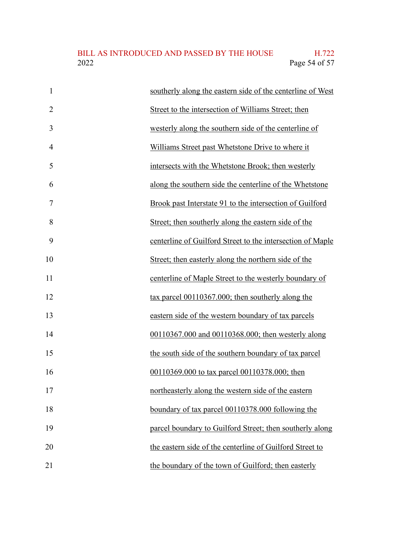| $\mathbf{1}$   | southerly along the eastern side of the centerline of West |
|----------------|------------------------------------------------------------|
| $\overline{2}$ | Street to the intersection of Williams Street; then        |
| 3              | westerly along the southern side of the centerline of      |
| $\overline{4}$ | Williams Street past Whetstone Drive to where it           |
| 5              | intersects with the Whetstone Brook; then westerly         |
| 6              | along the southern side the centerline of the Whetstone    |
| 7              | Brook past Interstate 91 to the intersection of Guilford   |
| 8              | Street; then southerly along the eastern side of the       |
| 9              | centerline of Guilford Street to the intersection of Maple |
| 10             | Street; then easterly along the northern side of the       |
| 11             | centerline of Maple Street to the westerly boundary of     |
| 12             | tax parcel 00110367.000; then southerly along the          |
| 13             | eastern side of the western boundary of tax parcels        |
| 14             | 00110367.000 and 00110368.000; then westerly along         |
| 15             | the south side of the southern boundary of tax parcel      |
| 16             | 00110369.000 to tax parcel 00110378.000; then              |
| 17             | northeasterly along the western side of the eastern        |
| 18             | boundary of tax parcel 00110378.000 following the          |
| 19             | parcel boundary to Guilford Street; then southerly along   |
| 20             | the eastern side of the centerline of Guilford Street to   |
| 21             | the boundary of the town of Guilford; then easterly        |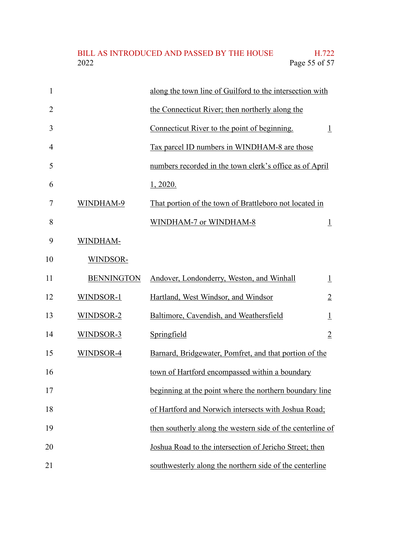### BILL AS INTRODUCED AND PASSED BY THE HOUSE H.722<br>2022 Page 55 of 57 Page 55 of 57

| 1              |                   | along the town line of Guilford to the intersection with   |                |
|----------------|-------------------|------------------------------------------------------------|----------------|
| 2              |                   | the Connecticut River; then northerly along the            |                |
| 3              |                   | Connecticut River to the point of beginning.               | $\perp$        |
| $\overline{4}$ |                   | Tax parcel ID numbers in WINDHAM-8 are those               |                |
| 5              |                   | numbers recorded in the town clerk's office as of April    |                |
| 6              |                   | 1, 2020.                                                   |                |
| 7              | WINDHAM-9         | That portion of the town of Brattleboro not located in     |                |
| 8              |                   | WINDHAM-7 or WINDHAM-8                                     | $\perp$        |
| 9              | WINDHAM-          |                                                            |                |
| 10             | WINDSOR-          |                                                            |                |
| 11             | <b>BENNINGTON</b> | Andover, Londonderry, Weston, and Winhall                  | $\perp$        |
| 12             | WINDSOR-1         | Hartland, West Windsor, and Windsor                        | $\overline{2}$ |
| 13             | WINDSOR-2         | Baltimore, Cavendish, and Weathersfield                    | $\perp$        |
| 14             | WINDSOR-3         | Springfield                                                | $\overline{2}$ |
| 15             | WINDSOR-4         | Barnard, Bridgewater, Pomfret, and that portion of the     |                |
| 16             |                   | town of Hartford encompassed within a boundary             |                |
| 17             |                   | beginning at the point where the northern boundary line    |                |
| 18             |                   | of Hartford and Norwich intersects with Joshua Road;       |                |
| 19             |                   | then southerly along the western side of the centerline of |                |
| 20             |                   | Joshua Road to the intersection of Jericho Street; then    |                |
| 21             |                   | southwesterly along the northern side of the centerline    |                |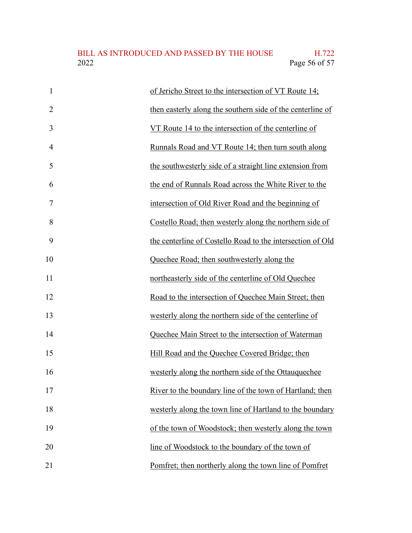| $\mathbf{1}$   | of Jericho Street to the intersection of VT Route 14;      |
|----------------|------------------------------------------------------------|
| $\overline{2}$ | then easterly along the southern side of the centerline of |
| 3              | VT Route 14 to the intersection of the centerline of       |
| $\overline{4}$ | Runnals Road and VT Route 14; then turn south along        |
| 5              | the southwesterly side of a straight line extension from   |
| 6              | the end of Runnals Road across the White River to the      |
| 7              | intersection of Old River Road and the beginning of        |
| 8              | Costello Road; then westerly along the northern side of    |
| 9              | the centerline of Costello Road to the intersection of Old |
| 10             | Quechee Road; then southwesterly along the                 |
| 11             | northeasterly side of the centerline of Old Quechee        |
| 12             | Road to the intersection of Quechee Main Street; then      |
| 13             | westerly along the northern side of the centerline of      |
| 14             | Quechee Main Street to the intersection of Waterman        |
| 15             | Hill Road and the Quechee Covered Bridge; then             |
| 16             | westerly along the northern side of the Ottauquechee       |
| 17             | River to the boundary line of the town of Hartland; then   |
| 18             | westerly along the town line of Hartland to the boundary   |
| 19             | of the town of Woodstock; then westerly along the town     |
| 20             | line of Woodstock to the boundary of the town of           |
| 21             | Pomfret; then northerly along the town line of Pomfret     |